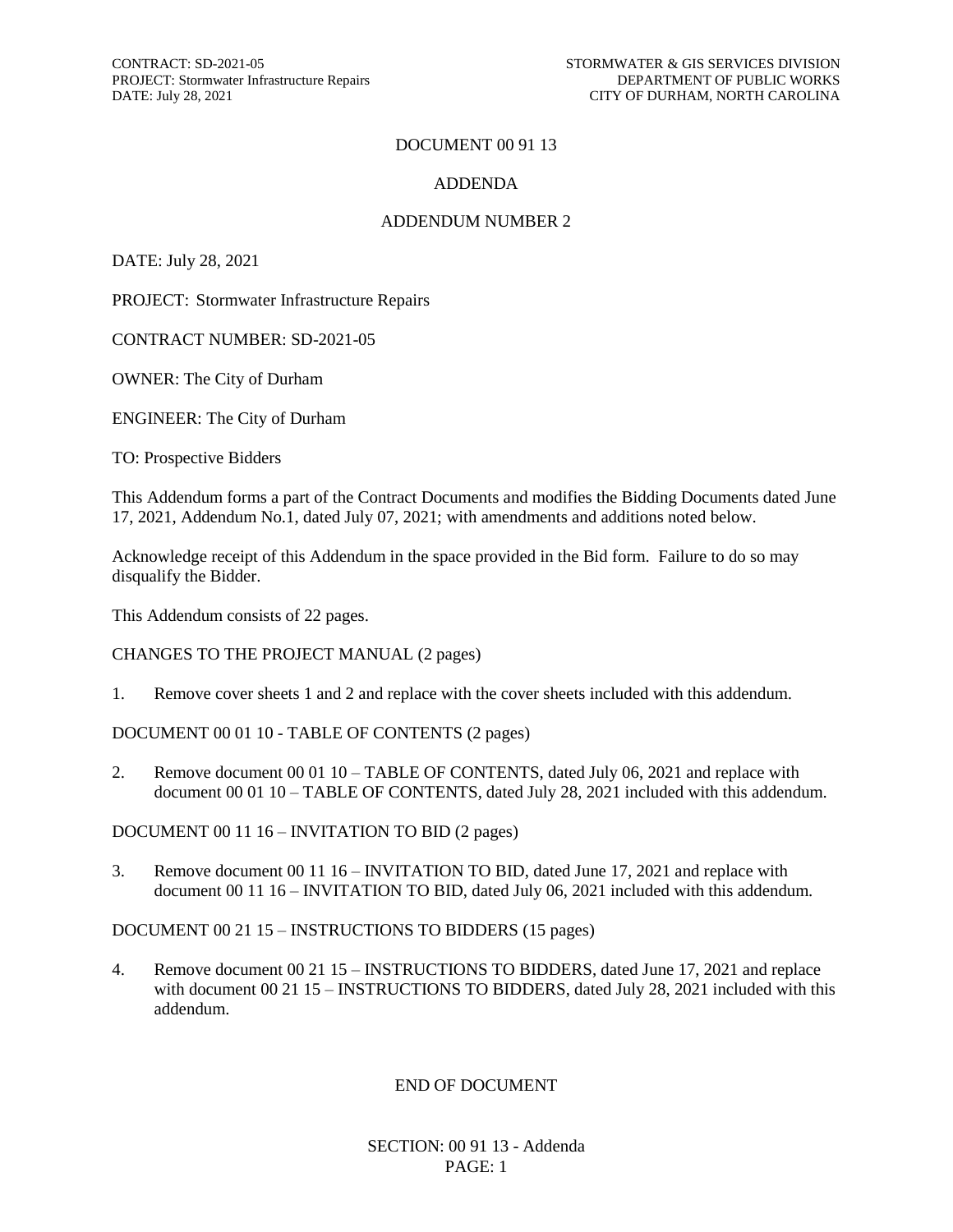#### DOCUMENT 00 91 13

#### ADDENDA

#### ADDENDUM NUMBER 2

DATE: July 28, 2021

PROJECT: Stormwater Infrastructure Repairs

CONTRACT NUMBER: SD-2021-05

OWNER: The City of Durham

ENGINEER: The City of Durham

TO: Prospective Bidders

This Addendum forms a part of the Contract Documents and modifies the Bidding Documents dated June 17, 2021, Addendum No.1, dated July 07, 2021; with amendments and additions noted below.

Acknowledge receipt of this Addendum in the space provided in the Bid form. Failure to do so may disqualify the Bidder.

This Addendum consists of 22 pages.

CHANGES TO THE PROJECT MANUAL (2 pages)

1. Remove cover sheets 1 and 2 and replace with the cover sheets included with this addendum.

DOCUMENT 00 01 10 - TABLE OF CONTENTS (2 pages)

2. Remove document 00 01 10 – TABLE OF CONTENTS, dated July 06, 2021 and replace with document 00 01 10 – TABLE OF CONTENTS, dated July 28, 2021 included with this addendum.

DOCUMENT 00 11 16 – INVITATION TO BID (2 pages)

3. Remove document 00 11 16 – INVITATION TO BID, dated June 17, 2021 and replace with document 00 11 16 – INVITATION TO BID, dated July 06, 2021 included with this addendum.

DOCUMENT 00 21 15 – INSTRUCTIONS TO BIDDERS (15 pages)

4. Remove document 00 21 15 – INSTRUCTIONS TO BIDDERS, dated June 17, 2021 and replace with document 00 21 15 – INSTRUCTIONS TO BIDDERS, dated July 28, 2021 included with this addendum.

#### END OF DOCUMENT

SECTION: 00 91 13 - Addenda PAGE: 1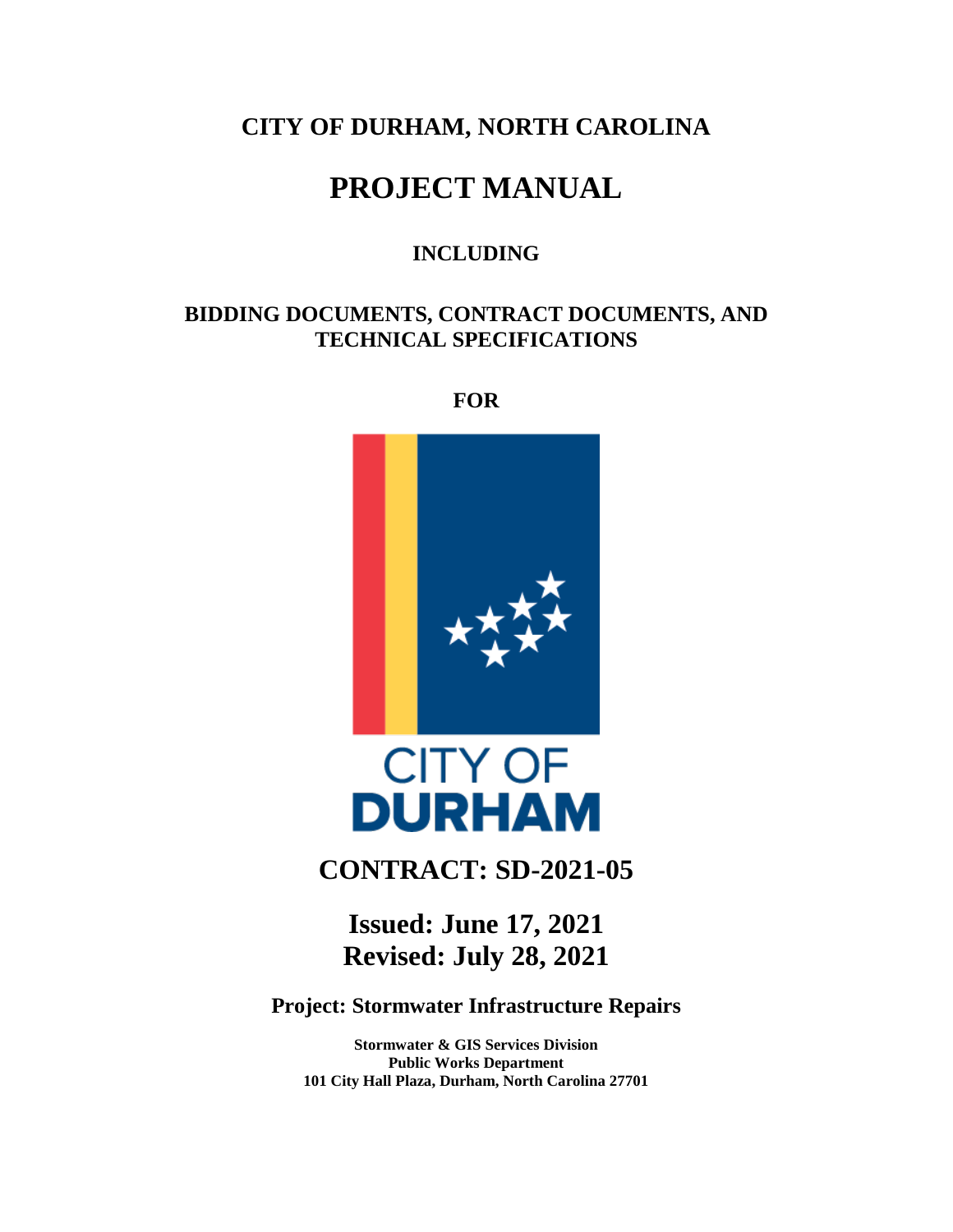## **CITY OF DURHAM, NORTH CAROLINA**

# **PROJECT MANUAL**

## **INCLUDING**

## **BIDDING DOCUMENTS, CONTRACT DOCUMENTS, AND TECHNICAL SPECIFICATIONS**

**FOR**



# **CITY OF DURHAM**

## **CONTRACT: SD-2021-05**

**Issued: June 17, 2021 Revised: July 28, 2021**

**Project: Stormwater Infrastructure Repairs**

**Stormwater & GIS Services Division Public Works Department 101 City Hall Plaza, Durham, North Carolina 27701**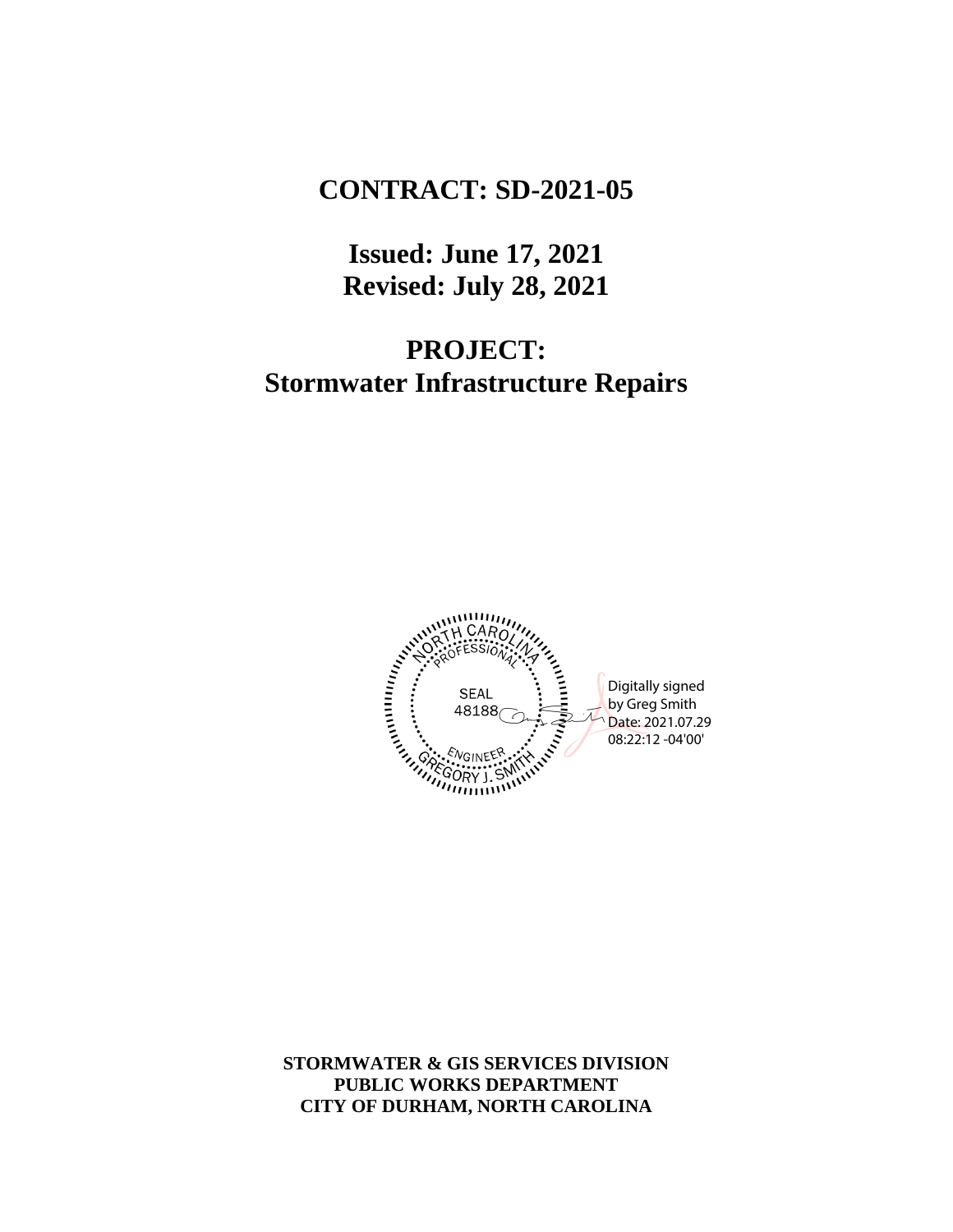# **CONTRACT: SD-2021-05**

**Issued: June 17, 2021 Revised: July 28, 2021**

# **PROJECT: Stormwater Infrastructure Repairs**



**STORMWATER & GIS SERVICES DIVISION PUBLIC WORKS DEPARTMENT CITY OF DURHAM, NORTH CAROLINA**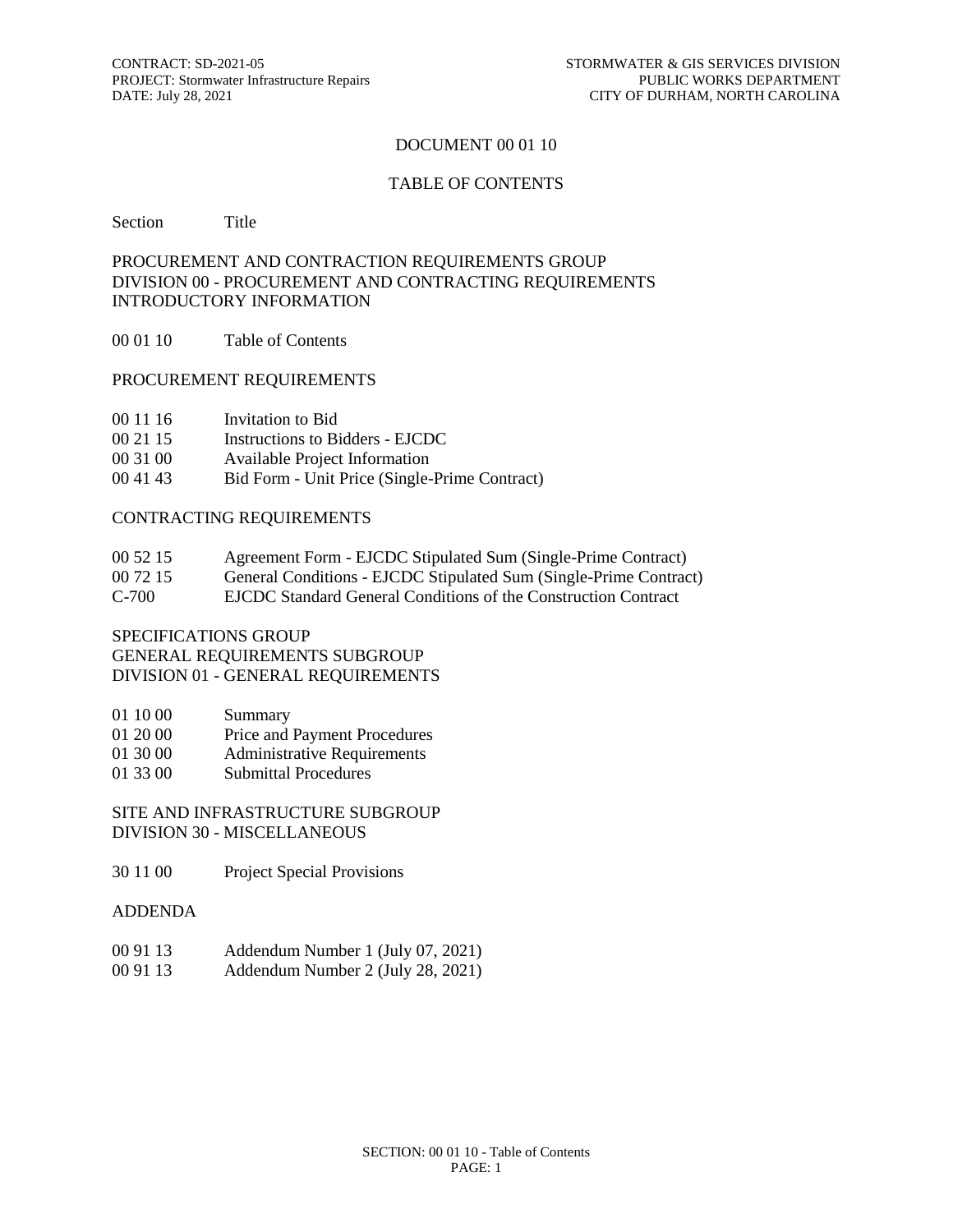#### DOCUMENT 00 01 10

#### TABLE OF CONTENTS

Section Title

#### PROCUREMENT AND CONTRACTION REQUIREMENTS GROUP DIVISION 00 - PROCUREMENT AND CONTRACTING REQUIREMENTS INTRODUCTORY INFORMATION

00 01 10 Table of Contents

#### PROCUREMENT REQUIREMENTS

- 00 11 16 Invitation to Bid
- 00 21 15 Instructions to Bidders EJCDC
- 00 31 00 Available Project Information
- 00 41 43 Bid Form Unit Price (Single-Prime Contract)

#### CONTRACTING REQUIREMENTS

| 00 52 15 | Agreement Form - EJCDC Stipulated Sum (Single-Prime Contract) |  |
|----------|---------------------------------------------------------------|--|
|          |                                                               |  |

- 00 72 15 General Conditions EJCDC Stipulated Sum (Single-Prime Contract)
- C-700 EJCDC Standard General Conditions of the Construction Contract

#### SPECIFICATIONS GROUP GENERAL REQUIREMENTS SUBGROUP

DIVISION 01 - GENERAL REQUIREMENTS

- 01 10 00 Summary
- 01 20 00 Price and Payment Procedures
- 01 30 00 Administrative Requirements
- 01 33 00 Submittal Procedures

SITE AND INFRASTRUCTURE SUBGROUP DIVISION 30 - MISCELLANEOUS

- 30 11 00 Project Special Provisions
- ADDENDA
- 00 91 13 Addendum Number 1 (July 07, 2021)
- 00 91 13 Addendum Number 2 (July 28, 2021)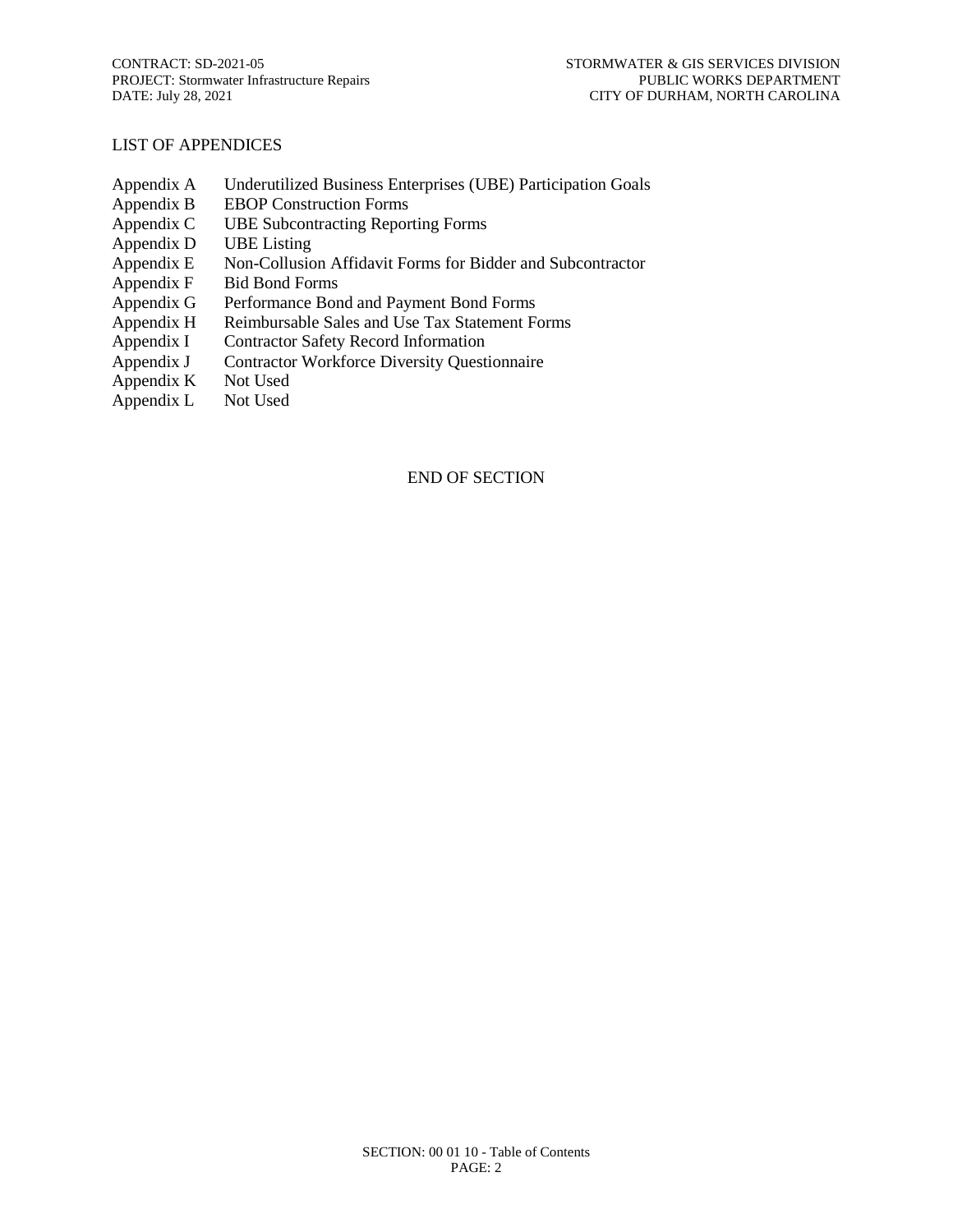#### LIST OF APPENDICES

- Appendix A Underutilized Business Enterprises (UBE) Participation Goals
- Appendix B EBOP Construction Forms
- Appendix C UBE Subcontracting Reporting Forms
- Appendix D UBE Listing
- Appendix E Non-Collusion Affidavit Forms for Bidder and Subcontractor
- Appendix F Bid Bond Forms
- Appendix G Performance Bond and Payment Bond Forms
- Appendix H Reimbursable Sales and Use Tax Statement Forms
- Appendix I Contractor Safety Record Information
- Appendix J Contractor Workforce Diversity Questionnaire
- Appendix K Not Used
- Appendix L Not Used

#### END OF SECTION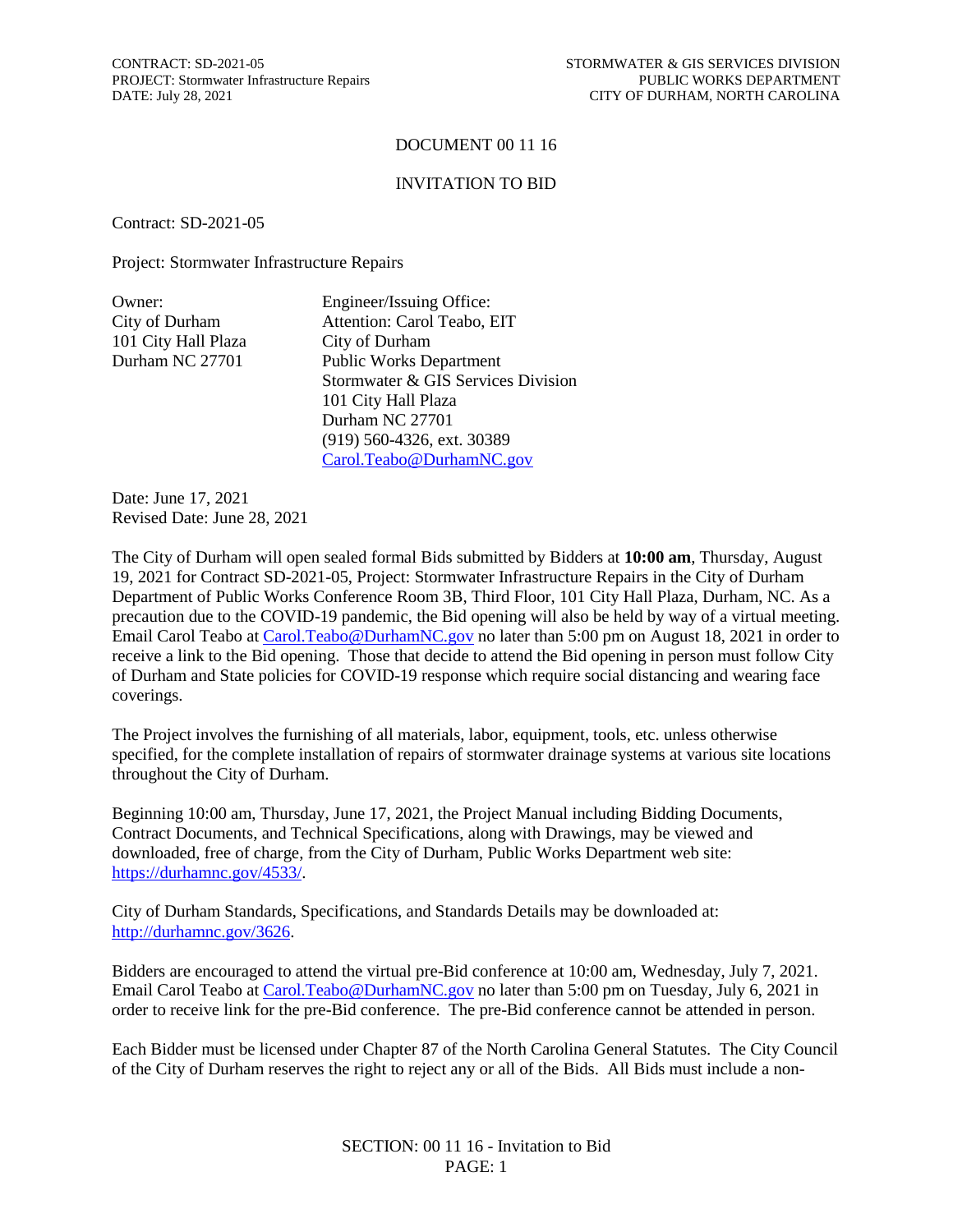#### DOCUMENT 00 11 16

#### INVITATION TO BID

Contract: SD-2021-05

Project: Stormwater Infrastructure Repairs

| Engineer/Issuing Office:           |
|------------------------------------|
| Attention: Carol Teabo, EIT        |
| City of Durham                     |
| <b>Public Works Department</b>     |
| Stormwater & GIS Services Division |
| 101 City Hall Plaza                |
| Durham NC 27701                    |
| $(919)$ 560-4326, ext. 30389       |
| Carol.Teabo@DurhamNC.gov           |
|                                    |

Date: June 17, 2021 Revised Date: June 28, 2021

The City of Durham will open sealed formal Bids submitted by Bidders at **10:00 am**, Thursday, August 19, 2021 for Contract SD-2021-05, Project: Stormwater Infrastructure Repairs in the City of Durham Department of Public Works Conference Room 3B, Third Floor, 101 City Hall Plaza, Durham, NC. As a precaution due to the COVID-19 pandemic, the Bid opening will also be held by way of a virtual meeting. Email Carol Teabo at Carol. Teabo@DurhamNC.gov no later than 5:00 pm on August 18, 2021 in order to receive a link to the Bid opening. Those that decide to attend the Bid opening in person must follow City of Durham and State policies for COVID-19 response which require social distancing and wearing face coverings.

The Project involves the furnishing of all materials, labor, equipment, tools, etc. unless otherwise specified, for the complete installation of repairs of stormwater drainage systems at various site locations throughout the City of Durham.

Beginning 10:00 am, Thursday, June 17, 2021, the Project Manual including Bidding Documents, Contract Documents, and Technical Specifications, along with Drawings, may be viewed and downloaded, free of charge, from the City of Durham, Public Works Department web site: [https://durhamnc.gov/4533/.](https://durhamnc.gov/4533/)

City of Durham Standards, Specifications, and Standards Details may be downloaded at: [http://durhamnc.gov/3626.](http://durhamnc.gov/3626)

Bidders are encouraged to attend the virtual pre-Bid conference at 10:00 am, Wednesday, July 7, 2021. Email Carol Teabo at [Carol.Teabo@DurhamNC.gov](mailto:Carol.Teabo@DurhamNC.gov) no later than 5:00 pm on Tuesday, July 6, 2021 in order to receive link for the pre-Bid conference. The pre-Bid conference cannot be attended in person.

Each Bidder must be licensed under Chapter 87 of the North Carolina General Statutes. The City Council of the City of Durham reserves the right to reject any or all of the Bids. All Bids must include a non-

> SECTION: 00 11 16 - Invitation to Bid PAGE: 1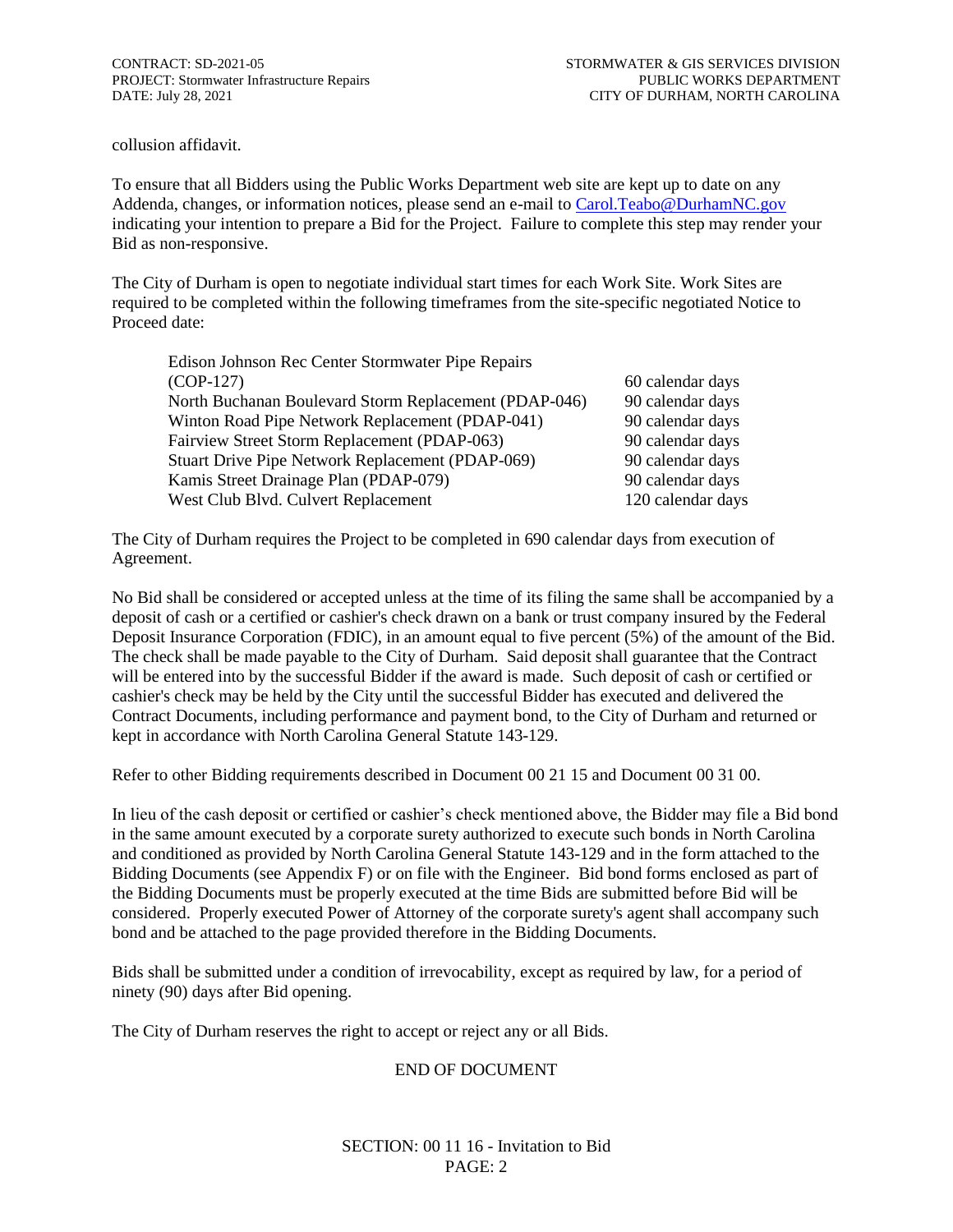collusion affidavit.

To ensure that all Bidders using the Public Works Department web site are kept up to date on any Addenda, changes, or information notices, please send an e-mail to [Carol.Teabo@DurhamNC.gov](mailto:Carol.Teabo@DurhamNC.gov) indicating your intention to prepare a Bid for the Project. Failure to complete this step may render your Bid as non-responsive.

The City of Durham is open to negotiate individual start times for each Work Site. Work Sites are required to be completed within the following timeframes from the site-specific negotiated Notice to Proceed date:

| Edison Johnson Rec Center Stormwater Pipe Repairs     |                   |
|-------------------------------------------------------|-------------------|
| $(COP-127)$                                           | 60 calendar days  |
| North Buchanan Boulevard Storm Replacement (PDAP-046) | 90 calendar days  |
| Winton Road Pipe Network Replacement (PDAP-041)       | 90 calendar days  |
| Fairview Street Storm Replacement (PDAP-063)          | 90 calendar days  |
| Stuart Drive Pipe Network Replacement (PDAP-069)      | 90 calendar days  |
| Kamis Street Drainage Plan (PDAP-079)                 | 90 calendar days  |
| West Club Blvd. Culvert Replacement                   | 120 calendar days |

The City of Durham requires the Project to be completed in 690 calendar days from execution of Agreement.

No Bid shall be considered or accepted unless at the time of its filing the same shall be accompanied by a deposit of cash or a certified or cashier's check drawn on a bank or trust company insured by the Federal Deposit Insurance Corporation (FDIC), in an amount equal to five percent (5%) of the amount of the Bid. The check shall be made payable to the City of Durham. Said deposit shall guarantee that the Contract will be entered into by the successful Bidder if the award is made. Such deposit of cash or certified or cashier's check may be held by the City until the successful Bidder has executed and delivered the Contract Documents, including performance and payment bond, to the City of Durham and returned or kept in accordance with North Carolina General Statute 143-129.

Refer to other Bidding requirements described in Document 00 21 15 and Document 00 31 00.

In lieu of the cash deposit or certified or cashier's check mentioned above, the Bidder may file a Bid bond in the same amount executed by a corporate surety authorized to execute such bonds in North Carolina and conditioned as provided by North Carolina General Statute 143-129 and in the form attached to the Bidding Documents (see Appendix F) or on file with the Engineer. Bid bond forms enclosed as part of the Bidding Documents must be properly executed at the time Bids are submitted before Bid will be considered. Properly executed Power of Attorney of the corporate surety's agent shall accompany such bond and be attached to the page provided therefore in the Bidding Documents.

Bids shall be submitted under a condition of irrevocability, except as required by law, for a period of ninety (90) days after Bid opening.

The City of Durham reserves the right to accept or reject any or all Bids.

#### END OF DOCUMENT

SECTION: 00 11 16 - Invitation to Bid PAGE: 2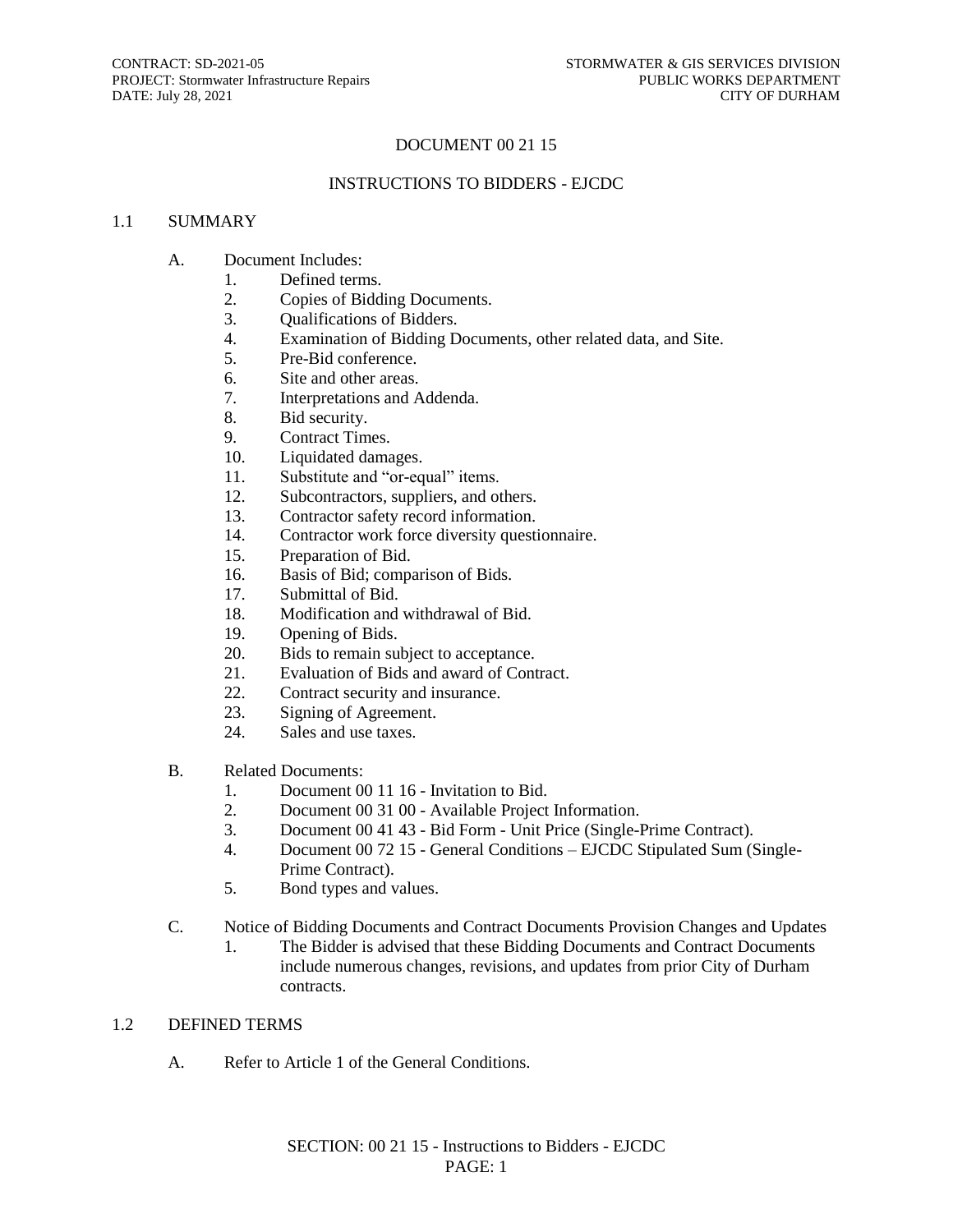#### DOCUMENT 00 21 15

#### INSTRUCTIONS TO BIDDERS - EJCDC

#### 1.1 SUMMARY

#### A. Document Includes:

- 1. Defined terms.
- 2. Copies of Bidding Documents.
- 3. Qualifications of Bidders.
- 4. Examination of Bidding Documents, other related data, and Site.
- 5. Pre-Bid conference.
- 6. Site and other areas.
- 7. Interpretations and Addenda.
- 8. Bid security.
- 9. Contract Times.
- 10. Liquidated damages.
- 11. Substitute and "or-equal" items.
- 12. Subcontractors, suppliers, and others.
- 13. Contractor safety record information.
- 14. Contractor work force diversity questionnaire.
- 15. Preparation of Bid.
- 16. Basis of Bid; comparison of Bids.
- 17. Submittal of Bid.
- 18. Modification and withdrawal of Bid.
- 19. Opening of Bids.
- 20. Bids to remain subject to acceptance.
- 21. Evaluation of Bids and award of Contract.
- 22. Contract security and insurance.
- 23. Signing of Agreement.
- 24. Sales and use taxes.
- B. Related Documents:
	- 1. Document 00 11 16 Invitation to Bid.
	- 2. Document 00 31 00 Available Project Information.
	- 3. Document 00 41 43 Bid Form Unit Price (Single-Prime Contract).
	- 4. Document 00 72 15 General Conditions EJCDC Stipulated Sum (Single-Prime Contract).
	- 5. Bond types and values.
- C. Notice of Bidding Documents and Contract Documents Provision Changes and Updates
	- 1. The Bidder is advised that these Bidding Documents and Contract Documents include numerous changes, revisions, and updates from prior City of Durham contracts.

#### 1.2 DEFINED TERMS

A. Refer to Article 1 of the General Conditions.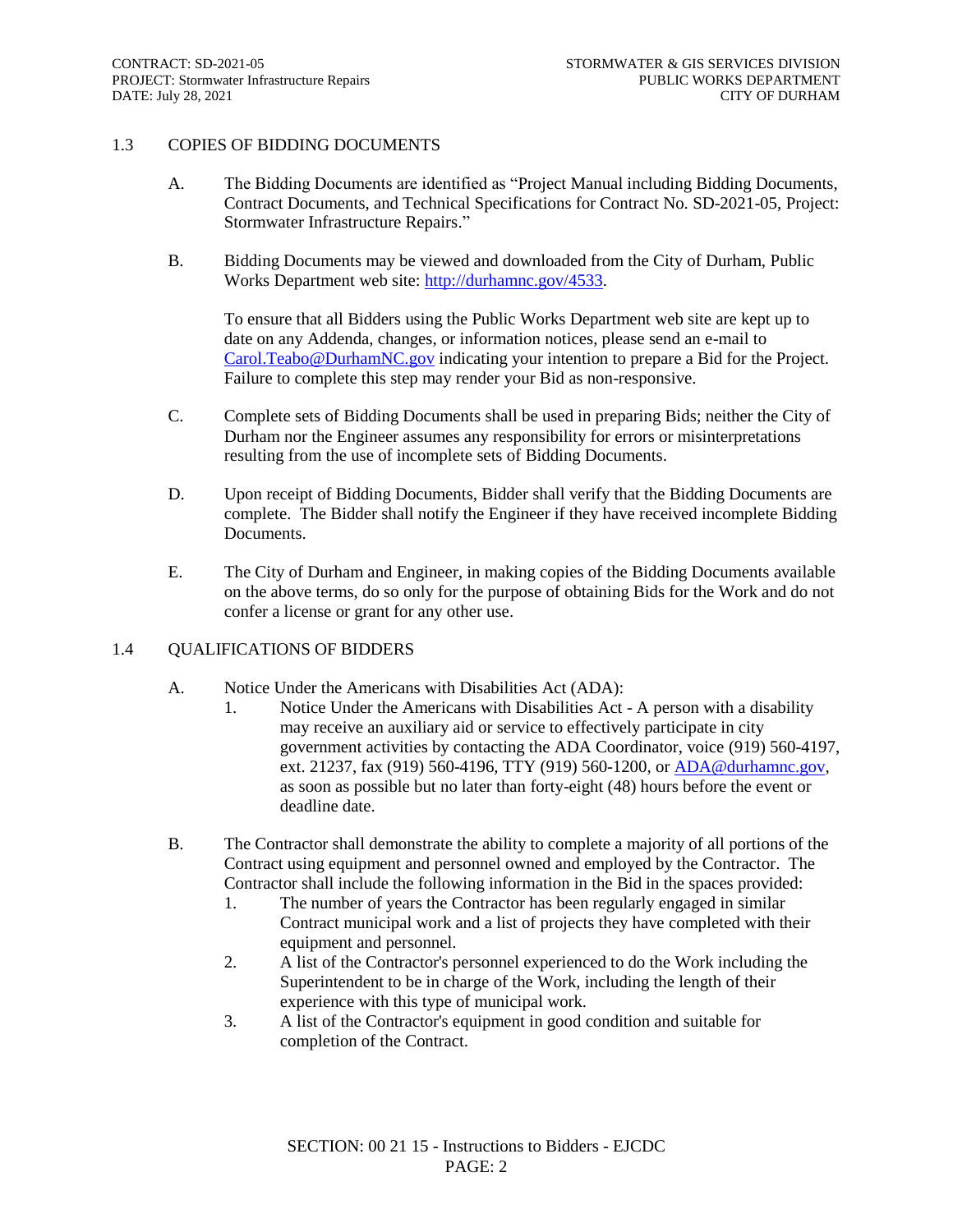#### 1.3 COPIES OF BIDDING DOCUMENTS

- A. The Bidding Documents are identified as "Project Manual including Bidding Documents, Contract Documents, and Technical Specifications for Contract No. SD-2021-05, Project: Stormwater Infrastructure Repairs."
- B. Bidding Documents may be viewed and downloaded from the City of Durham, Public Works Department web site: [http://durhamnc.gov/4533.](http://durhamnc.gov/4533)

To ensure that all Bidders using the Public Works Department web site are kept up to date on any Addenda, changes, or information notices, please send an e-mail to [Carol.Teabo@DurhamNC.gov](mailto:Carol.Teabo@DurhamNC.gov) indicating your intention to prepare a Bid for the Project. Failure to complete this step may render your Bid as non-responsive.

- C. Complete sets of Bidding Documents shall be used in preparing Bids; neither the City of Durham nor the Engineer assumes any responsibility for errors or misinterpretations resulting from the use of incomplete sets of Bidding Documents.
- D. Upon receipt of Bidding Documents, Bidder shall verify that the Bidding Documents are complete. The Bidder shall notify the Engineer if they have received incomplete Bidding Documents.
- E. The City of Durham and Engineer, in making copies of the Bidding Documents available on the above terms, do so only for the purpose of obtaining Bids for the Work and do not confer a license or grant for any other use.

#### 1.4 QUALIFICATIONS OF BIDDERS

- A. Notice Under the Americans with Disabilities Act (ADA):
	- 1. Notice Under the Americans with Disabilities Act A person with a disability may receive an auxiliary aid or service to effectively participate in city government activities by contacting the ADA Coordinator, voice (919) 560-4197, ext. 21237, fax (919) 560-4196, TTY (919) 560-1200, or [ADA@durhamnc.gov,](mailto:ADA@durhamnc.gov) as soon as possible but no later than forty-eight (48) hours before the event or deadline date.
- B. The Contractor shall demonstrate the ability to complete a majority of all portions of the Contract using equipment and personnel owned and employed by the Contractor. The Contractor shall include the following information in the Bid in the spaces provided:
	- 1. The number of years the Contractor has been regularly engaged in similar Contract municipal work and a list of projects they have completed with their equipment and personnel.
	- 2. A list of the Contractor's personnel experienced to do the Work including the Superintendent to be in charge of the Work, including the length of their experience with this type of municipal work.
	- 3. A list of the Contractor's equipment in good condition and suitable for completion of the Contract.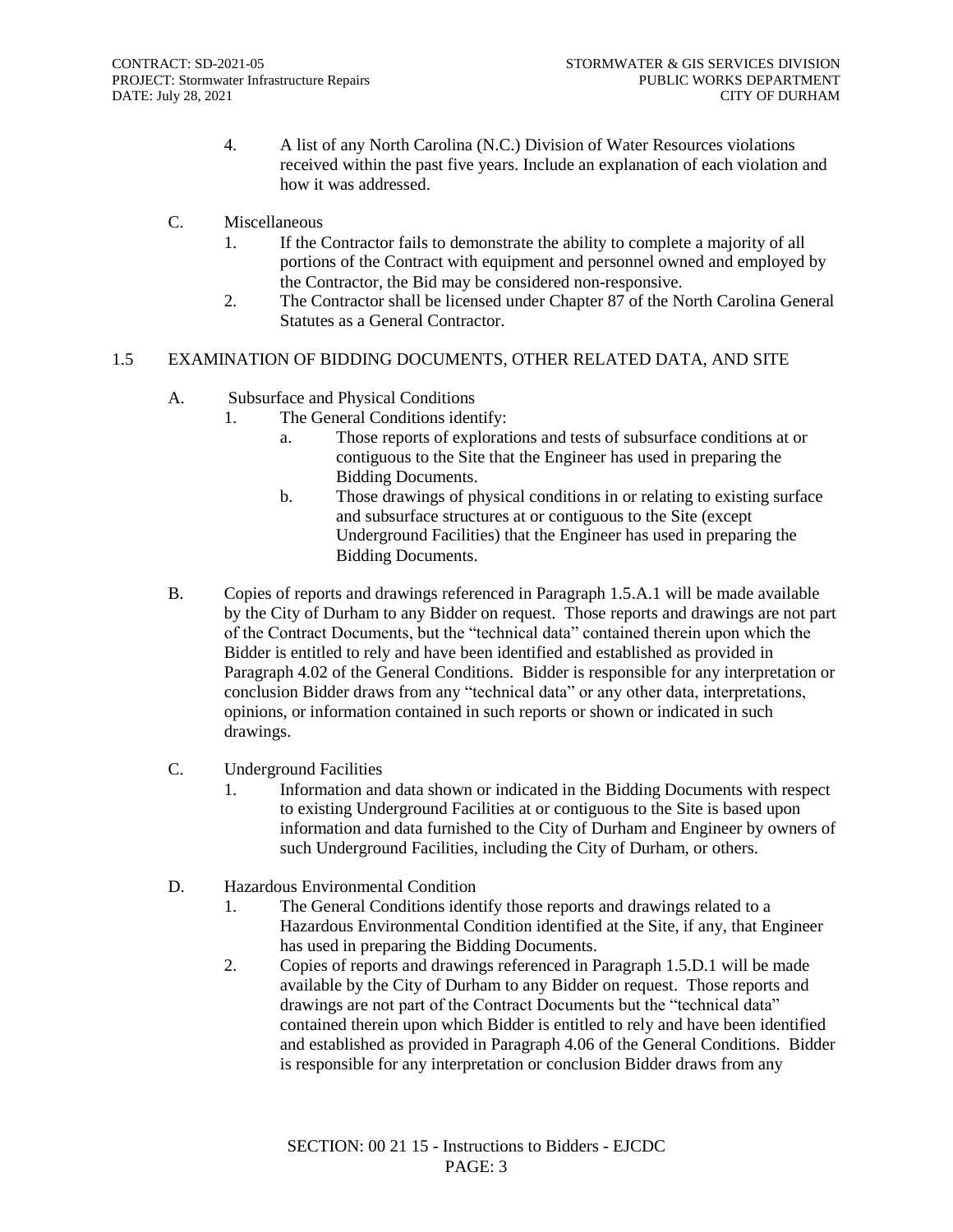- 4. A list of any North Carolina (N.C.) Division of Water Resources violations received within the past five years. Include an explanation of each violation and how it was addressed.
- C. Miscellaneous
	- 1. If the Contractor fails to demonstrate the ability to complete a majority of all portions of the Contract with equipment and personnel owned and employed by the Contractor, the Bid may be considered non-responsive.
	- 2. The Contractor shall be licensed under Chapter 87 of the North Carolina General Statutes as a General Contractor.

#### 1.5 EXAMINATION OF BIDDING DOCUMENTS, OTHER RELATED DATA, AND SITE

- A. Subsurface and Physical Conditions
	- 1. The General Conditions identify:
		- a. Those reports of explorations and tests of subsurface conditions at or contiguous to the Site that the Engineer has used in preparing the Bidding Documents.
		- b. Those drawings of physical conditions in or relating to existing surface and subsurface structures at or contiguous to the Site (except Underground Facilities) that the Engineer has used in preparing the Bidding Documents.
- B. Copies of reports and drawings referenced in Paragraph 1.5.A.1 will be made available by the City of Durham to any Bidder on request. Those reports and drawings are not part of the Contract Documents, but the "technical data" contained therein upon which the Bidder is entitled to rely and have been identified and established as provided in Paragraph 4.02 of the General Conditions. Bidder is responsible for any interpretation or conclusion Bidder draws from any "technical data" or any other data, interpretations, opinions, or information contained in such reports or shown or indicated in such drawings.
- C. Underground Facilities
	- 1. Information and data shown or indicated in the Bidding Documents with respect to existing Underground Facilities at or contiguous to the Site is based upon information and data furnished to the City of Durham and Engineer by owners of such Underground Facilities, including the City of Durham, or others.
- D. Hazardous Environmental Condition
	- 1. The General Conditions identify those reports and drawings related to a Hazardous Environmental Condition identified at the Site, if any, that Engineer has used in preparing the Bidding Documents.
	- 2. Copies of reports and drawings referenced in Paragraph 1.5.D.1 will be made available by the City of Durham to any Bidder on request. Those reports and drawings are not part of the Contract Documents but the "technical data" contained therein upon which Bidder is entitled to rely and have been identified and established as provided in Paragraph 4.06 of the General Conditions. Bidder is responsible for any interpretation or conclusion Bidder draws from any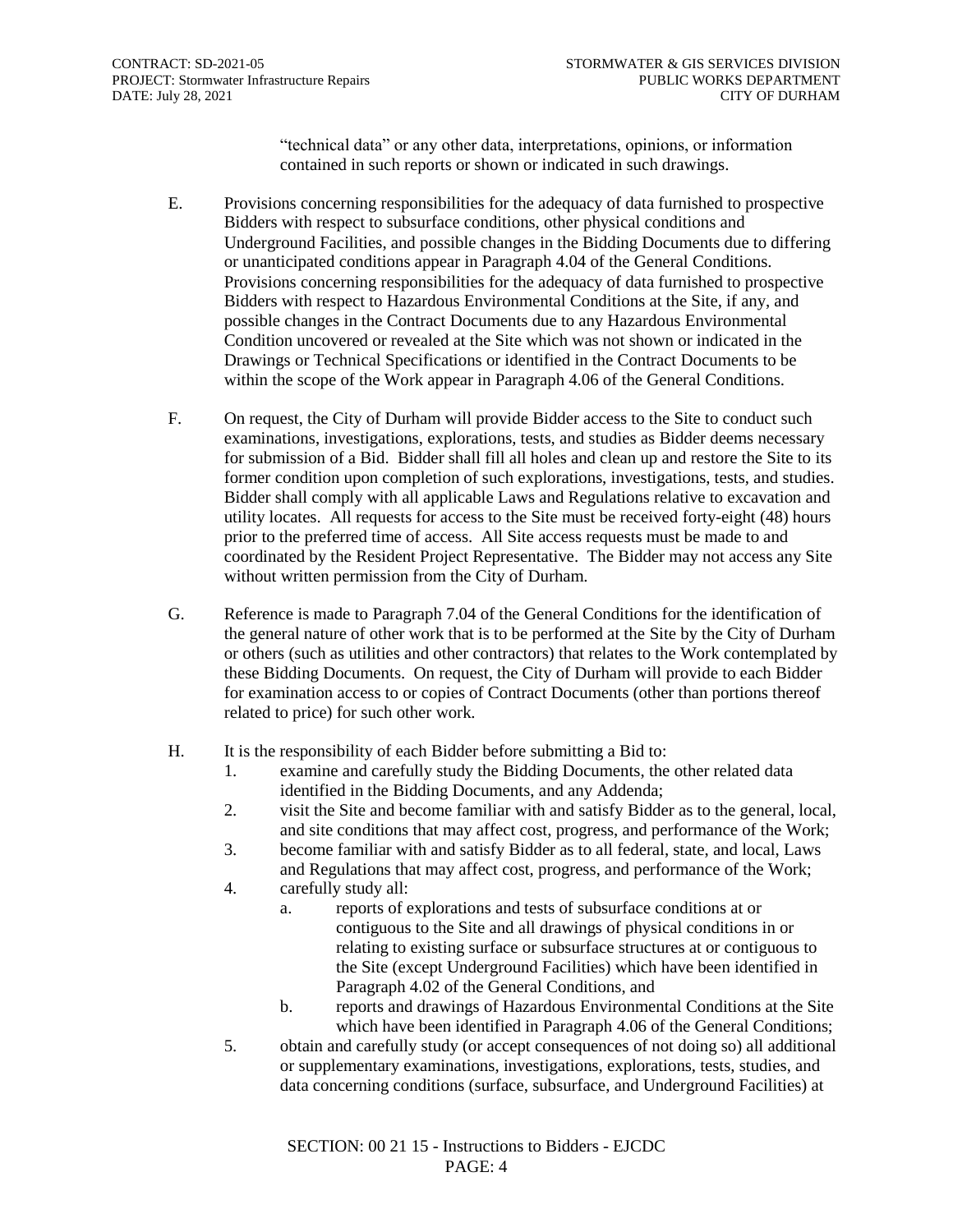"technical data" or any other data, interpretations, opinions, or information contained in such reports or shown or indicated in such drawings.

- E. Provisions concerning responsibilities for the adequacy of data furnished to prospective Bidders with respect to subsurface conditions, other physical conditions and Underground Facilities, and possible changes in the Bidding Documents due to differing or unanticipated conditions appear in Paragraph 4.04 of the General Conditions. Provisions concerning responsibilities for the adequacy of data furnished to prospective Bidders with respect to Hazardous Environmental Conditions at the Site, if any, and possible changes in the Contract Documents due to any Hazardous Environmental Condition uncovered or revealed at the Site which was not shown or indicated in the Drawings or Technical Specifications or identified in the Contract Documents to be within the scope of the Work appear in Paragraph 4.06 of the General Conditions.
- F. On request, the City of Durham will provide Bidder access to the Site to conduct such examinations, investigations, explorations, tests, and studies as Bidder deems necessary for submission of a Bid. Bidder shall fill all holes and clean up and restore the Site to its former condition upon completion of such explorations, investigations, tests, and studies. Bidder shall comply with all applicable Laws and Regulations relative to excavation and utility locates. All requests for access to the Site must be received forty-eight (48) hours prior to the preferred time of access. All Site access requests must be made to and coordinated by the Resident Project Representative. The Bidder may not access any Site without written permission from the City of Durham.
- G. Reference is made to Paragraph 7.04 of the General Conditions for the identification of the general nature of other work that is to be performed at the Site by the City of Durham or others (such as utilities and other contractors) that relates to the Work contemplated by these Bidding Documents. On request, the City of Durham will provide to each Bidder for examination access to or copies of Contract Documents (other than portions thereof related to price) for such other work.
- H. It is the responsibility of each Bidder before submitting a Bid to:
	- 1. examine and carefully study the Bidding Documents, the other related data identified in the Bidding Documents, and any Addenda;
	- 2. visit the Site and become familiar with and satisfy Bidder as to the general, local, and site conditions that may affect cost, progress, and performance of the Work;
	- 3. become familiar with and satisfy Bidder as to all federal, state, and local, Laws and Regulations that may affect cost, progress, and performance of the Work;
	- 4. carefully study all:
		- a. reports of explorations and tests of subsurface conditions at or contiguous to the Site and all drawings of physical conditions in or relating to existing surface or subsurface structures at or contiguous to the Site (except Underground Facilities) which have been identified in Paragraph 4.02 of the General Conditions, and
		- b. reports and drawings of Hazardous Environmental Conditions at the Site which have been identified in Paragraph 4.06 of the General Conditions;
	- 5. obtain and carefully study (or accept consequences of not doing so) all additional or supplementary examinations, investigations, explorations, tests, studies, and data concerning conditions (surface, subsurface, and Underground Facilities) at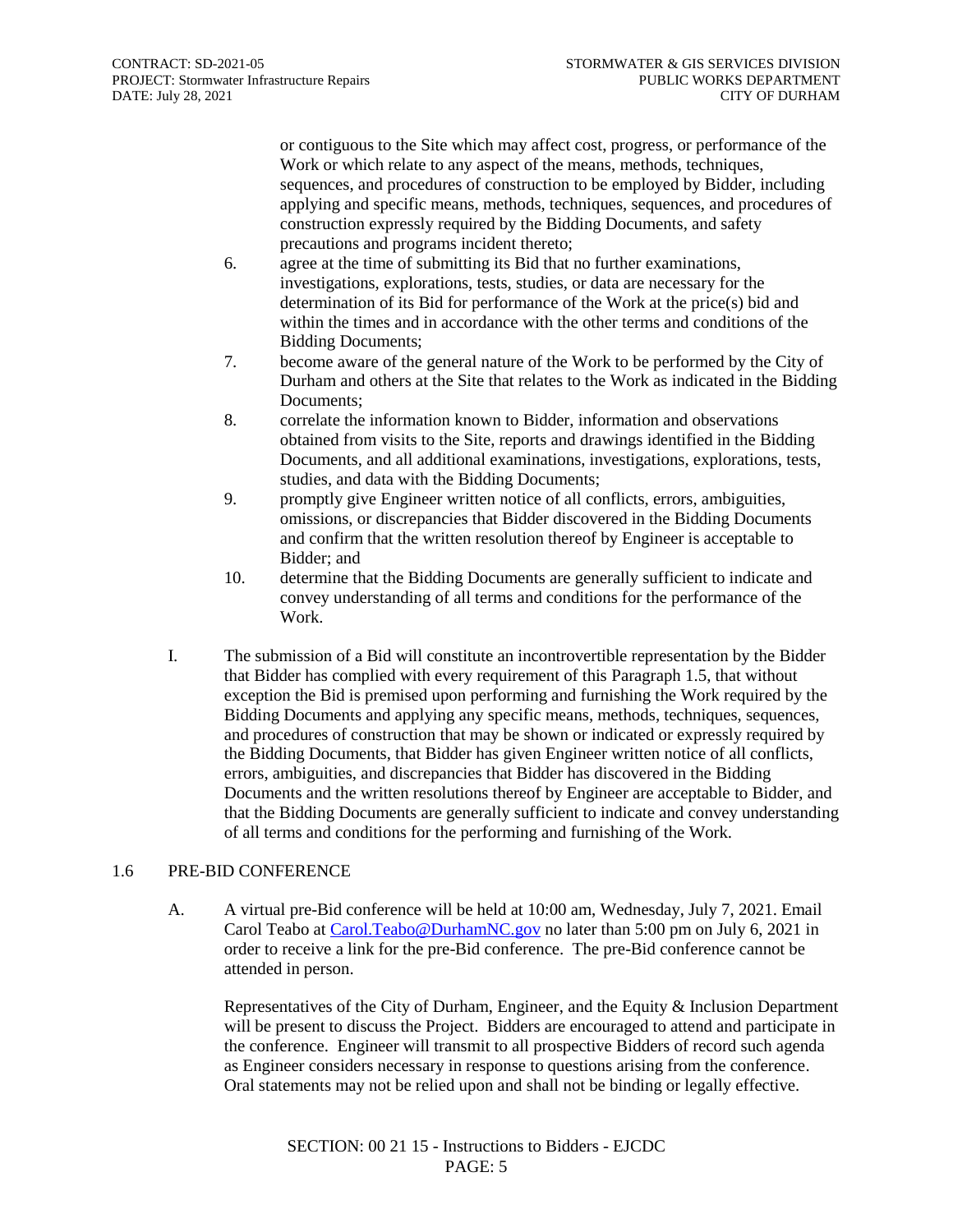or contiguous to the Site which may affect cost, progress, or performance of the Work or which relate to any aspect of the means, methods, techniques, sequences, and procedures of construction to be employed by Bidder, including applying and specific means, methods, techniques, sequences, and procedures of construction expressly required by the Bidding Documents, and safety precautions and programs incident thereto;

- 6. agree at the time of submitting its Bid that no further examinations, investigations, explorations, tests, studies, or data are necessary for the determination of its Bid for performance of the Work at the price(s) bid and within the times and in accordance with the other terms and conditions of the Bidding Documents;
- 7. become aware of the general nature of the Work to be performed by the City of Durham and others at the Site that relates to the Work as indicated in the Bidding Documents<sup>:</sup>
- 8. correlate the information known to Bidder, information and observations obtained from visits to the Site, reports and drawings identified in the Bidding Documents, and all additional examinations, investigations, explorations, tests, studies, and data with the Bidding Documents;
- 9. promptly give Engineer written notice of all conflicts, errors, ambiguities, omissions, or discrepancies that Bidder discovered in the Bidding Documents and confirm that the written resolution thereof by Engineer is acceptable to Bidder; and
- 10. determine that the Bidding Documents are generally sufficient to indicate and convey understanding of all terms and conditions for the performance of the Work.
- I. The submission of a Bid will constitute an incontrovertible representation by the Bidder that Bidder has complied with every requirement of this Paragraph 1.5, that without exception the Bid is premised upon performing and furnishing the Work required by the Bidding Documents and applying any specific means, methods, techniques, sequences, and procedures of construction that may be shown or indicated or expressly required by the Bidding Documents, that Bidder has given Engineer written notice of all conflicts, errors, ambiguities, and discrepancies that Bidder has discovered in the Bidding Documents and the written resolutions thereof by Engineer are acceptable to Bidder, and that the Bidding Documents are generally sufficient to indicate and convey understanding of all terms and conditions for the performing and furnishing of the Work.

#### 1.6 PRE-BID CONFERENCE

A. A virtual pre-Bid conference will be held at 10:00 am, Wednesday, July 7, 2021. Email Carol Teabo at [Carol.Teabo@DurhamNC.gov](mailto:Carol.Teabo@DurhamNC.gov) no later than 5:00 pm on July 6, 2021 in order to receive a link for the pre-Bid conference. The pre-Bid conference cannot be attended in person.

Representatives of the City of Durham, Engineer, and the Equity & Inclusion Department will be present to discuss the Project. Bidders are encouraged to attend and participate in the conference. Engineer will transmit to all prospective Bidders of record such agenda as Engineer considers necessary in response to questions arising from the conference. Oral statements may not be relied upon and shall not be binding or legally effective.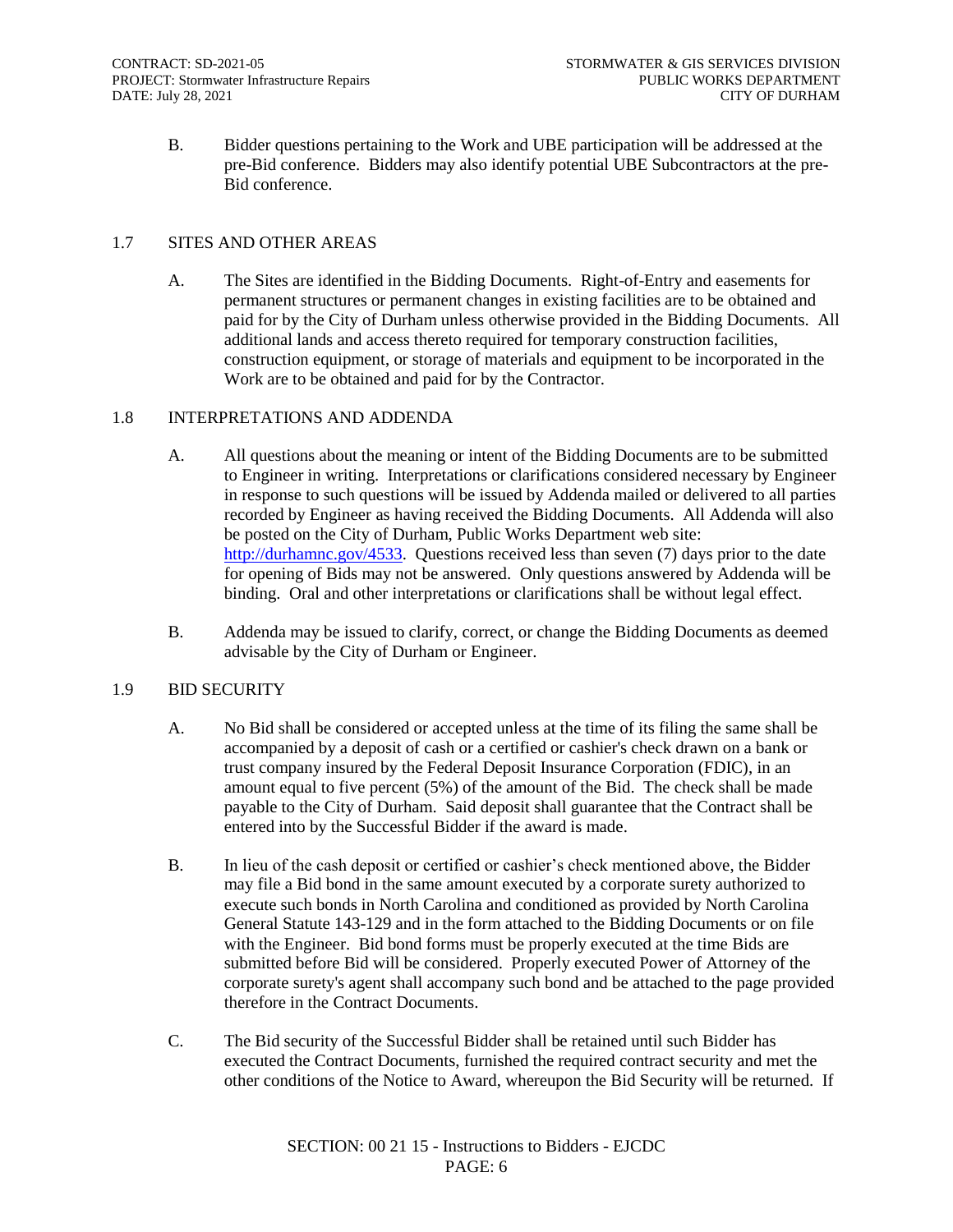B. Bidder questions pertaining to the Work and UBE participation will be addressed at the pre-Bid conference. Bidders may also identify potential UBE Subcontractors at the pre-Bid conference.

#### 1.7 SITES AND OTHER AREAS

A. The Sites are identified in the Bidding Documents. Right-of-Entry and easements for permanent structures or permanent changes in existing facilities are to be obtained and paid for by the City of Durham unless otherwise provided in the Bidding Documents. All additional lands and access thereto required for temporary construction facilities, construction equipment, or storage of materials and equipment to be incorporated in the Work are to be obtained and paid for by the Contractor.

#### 1.8 INTERPRETATIONS AND ADDENDA

- A. All questions about the meaning or intent of the Bidding Documents are to be submitted to Engineer in writing. Interpretations or clarifications considered necessary by Engineer in response to such questions will be issued by Addenda mailed or delivered to all parties recorded by Engineer as having received the Bidding Documents. All Addenda will also be posted on the City of Durham, Public Works Department web site: [http://durhamnc.gov/4533.](http://durhamnc.gov/4533) Questions received less than seven (7) days prior to the date for opening of Bids may not be answered. Only questions answered by Addenda will be binding. Oral and other interpretations or clarifications shall be without legal effect.
- B. Addenda may be issued to clarify, correct, or change the Bidding Documents as deemed advisable by the City of Durham or Engineer.

#### 1.9 BID SECURITY

- A. No Bid shall be considered or accepted unless at the time of its filing the same shall be accompanied by a deposit of cash or a certified or cashier's check drawn on a bank or trust company insured by the Federal Deposit Insurance Corporation (FDIC), in an amount equal to five percent (5%) of the amount of the Bid. The check shall be made payable to the City of Durham. Said deposit shall guarantee that the Contract shall be entered into by the Successful Bidder if the award is made.
- B. In lieu of the cash deposit or certified or cashier's check mentioned above, the Bidder may file a Bid bond in the same amount executed by a corporate surety authorized to execute such bonds in North Carolina and conditioned as provided by North Carolina General Statute 143-129 and in the form attached to the Bidding Documents or on file with the Engineer. Bid bond forms must be properly executed at the time Bids are submitted before Bid will be considered. Properly executed Power of Attorney of the corporate surety's agent shall accompany such bond and be attached to the page provided therefore in the Contract Documents.
- C. The Bid security of the Successful Bidder shall be retained until such Bidder has executed the Contract Documents, furnished the required contract security and met the other conditions of the Notice to Award, whereupon the Bid Security will be returned. If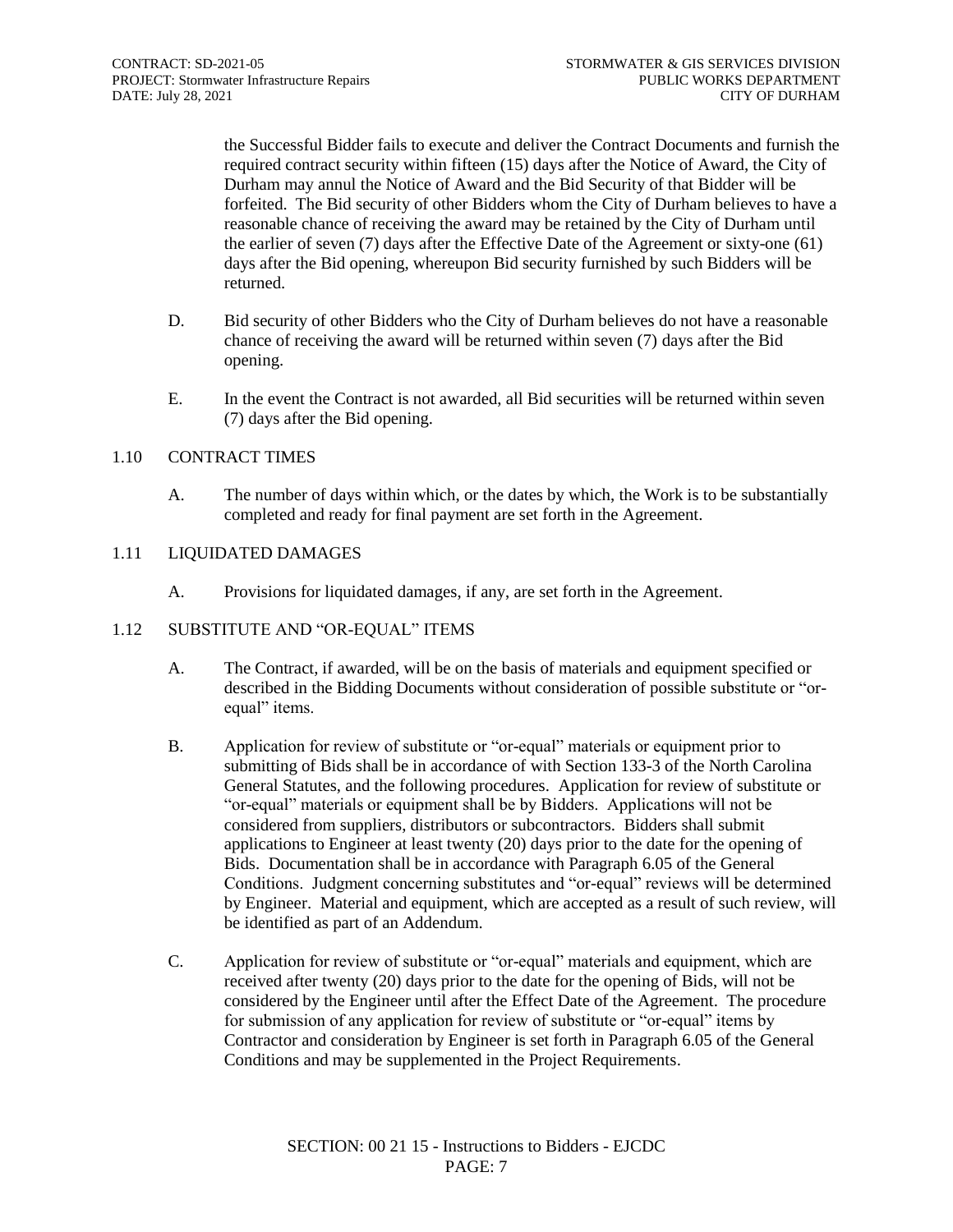the Successful Bidder fails to execute and deliver the Contract Documents and furnish the required contract security within fifteen (15) days after the Notice of Award, the City of Durham may annul the Notice of Award and the Bid Security of that Bidder will be forfeited. The Bid security of other Bidders whom the City of Durham believes to have a reasonable chance of receiving the award may be retained by the City of Durham until the earlier of seven (7) days after the Effective Date of the Agreement or sixty-one (61) days after the Bid opening, whereupon Bid security furnished by such Bidders will be returned.

- D. Bid security of other Bidders who the City of Durham believes do not have a reasonable chance of receiving the award will be returned within seven (7) days after the Bid opening.
- E. In the event the Contract is not awarded, all Bid securities will be returned within seven (7) days after the Bid opening.

#### 1.10 CONTRACT TIMES

A. The number of days within which, or the dates by which, the Work is to be substantially completed and ready for final payment are set forth in the Agreement.

#### 1.11 LIQUIDATED DAMAGES

A. Provisions for liquidated damages, if any, are set forth in the Agreement.

#### 1.12 SUBSTITUTE AND "OR-EQUAL" ITEMS

- A. The Contract, if awarded, will be on the basis of materials and equipment specified or described in the Bidding Documents without consideration of possible substitute or "orequal" items.
- B. Application for review of substitute or "or-equal" materials or equipment prior to submitting of Bids shall be in accordance of with Section 133-3 of the North Carolina General Statutes, and the following procedures. Application for review of substitute or "or-equal" materials or equipment shall be by Bidders. Applications will not be considered from suppliers, distributors or subcontractors. Bidders shall submit applications to Engineer at least twenty (20) days prior to the date for the opening of Bids. Documentation shall be in accordance with Paragraph 6.05 of the General Conditions. Judgment concerning substitutes and "or-equal" reviews will be determined by Engineer. Material and equipment, which are accepted as a result of such review, will be identified as part of an Addendum.
- C. Application for review of substitute or "or-equal" materials and equipment, which are received after twenty (20) days prior to the date for the opening of Bids, will not be considered by the Engineer until after the Effect Date of the Agreement. The procedure for submission of any application for review of substitute or "or-equal" items by Contractor and consideration by Engineer is set forth in Paragraph 6.05 of the General Conditions and may be supplemented in the Project Requirements.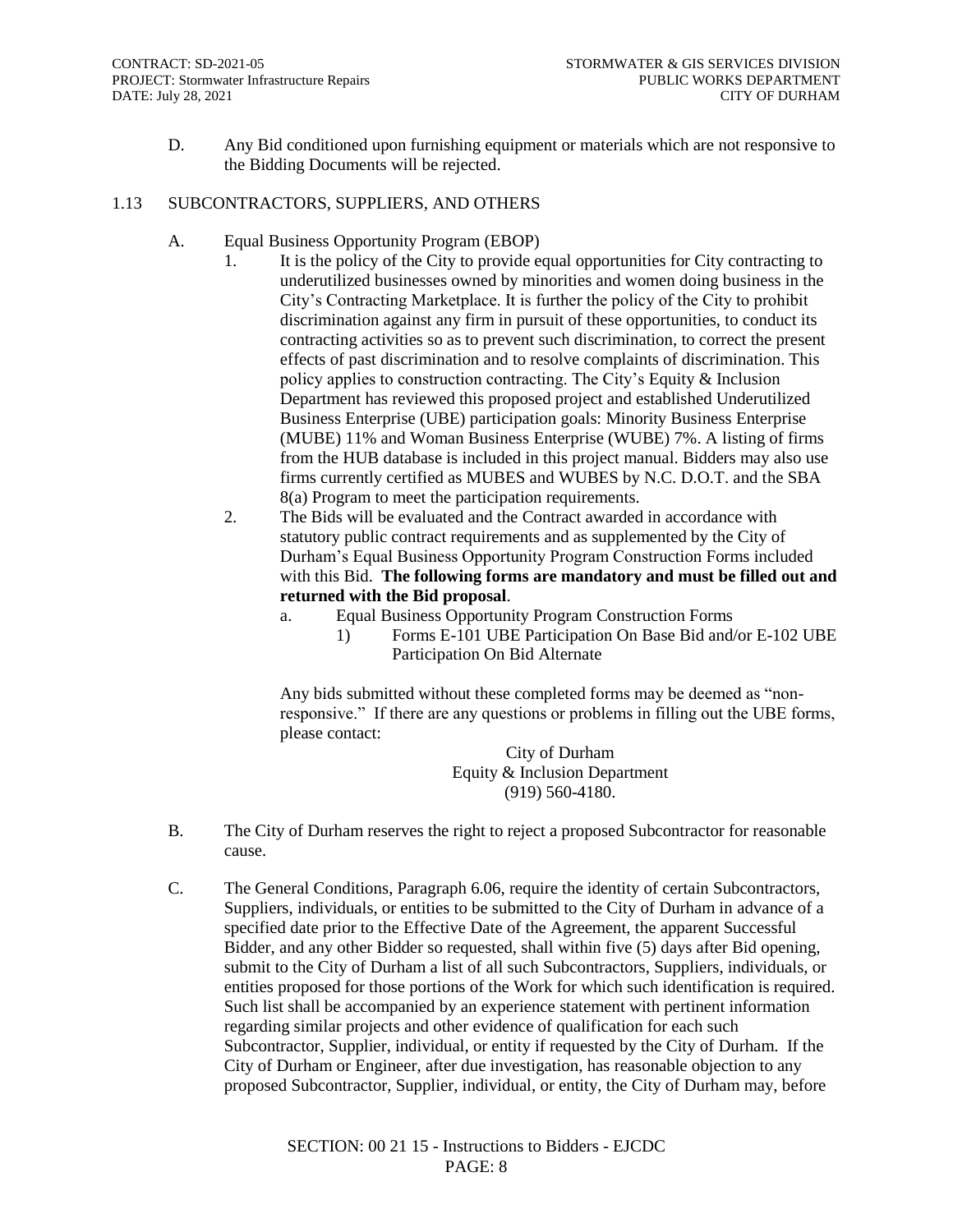D. Any Bid conditioned upon furnishing equipment or materials which are not responsive to the Bidding Documents will be rejected.

#### 1.13 SUBCONTRACTORS, SUPPLIERS, AND OTHERS

- A. Equal Business Opportunity Program (EBOP)
	- 1. It is the policy of the City to provide equal opportunities for City contracting to underutilized businesses owned by minorities and women doing business in the City's Contracting Marketplace. It is further the policy of the City to prohibit discrimination against any firm in pursuit of these opportunities, to conduct its contracting activities so as to prevent such discrimination, to correct the present effects of past discrimination and to resolve complaints of discrimination. This policy applies to construction contracting. The City's Equity & Inclusion Department has reviewed this proposed project and established Underutilized Business Enterprise (UBE) participation goals: Minority Business Enterprise (MUBE) 11% and Woman Business Enterprise (WUBE) 7%. A listing of firms from the HUB database is included in this project manual. Bidders may also use firms currently certified as MUBES and WUBES by N.C. D.O.T. and the SBA 8(a) Program to meet the participation requirements.
	- 2. The Bids will be evaluated and the Contract awarded in accordance with statutory public contract requirements and as supplemented by the City of Durham's Equal Business Opportunity Program Construction Forms included with this Bid. **The following forms are mandatory and must be filled out and returned with the Bid proposal**.
		- a. Equal Business Opportunity Program Construction Forms
			- 1) Forms E-101 UBE Participation On Base Bid and/or E-102 UBE Participation On Bid Alternate

Any bids submitted without these completed forms may be deemed as "nonresponsive." If there are any questions or problems in filling out the UBE forms, please contact:

City of Durham Equity & Inclusion Department (919) 560-4180.

- B. The City of Durham reserves the right to reject a proposed Subcontractor for reasonable cause.
- C. The General Conditions, Paragraph 6.06, require the identity of certain Subcontractors, Suppliers, individuals, or entities to be submitted to the City of Durham in advance of a specified date prior to the Effective Date of the Agreement, the apparent Successful Bidder, and any other Bidder so requested, shall within five (5) days after Bid opening, submit to the City of Durham a list of all such Subcontractors, Suppliers, individuals, or entities proposed for those portions of the Work for which such identification is required. Such list shall be accompanied by an experience statement with pertinent information regarding similar projects and other evidence of qualification for each such Subcontractor, Supplier, individual, or entity if requested by the City of Durham. If the City of Durham or Engineer, after due investigation, has reasonable objection to any proposed Subcontractor, Supplier, individual, or entity, the City of Durham may, before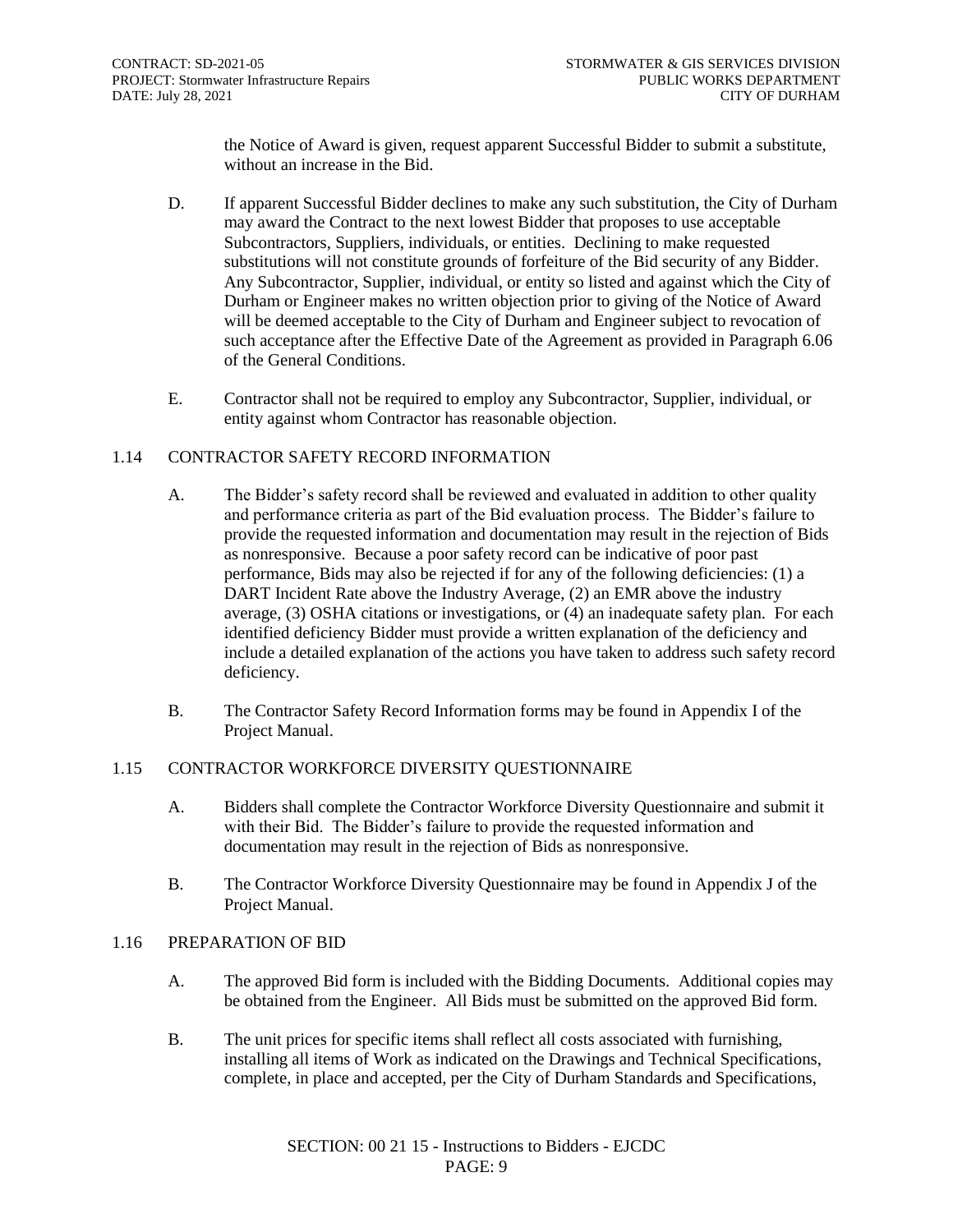the Notice of Award is given, request apparent Successful Bidder to submit a substitute, without an increase in the Bid.

- D. If apparent Successful Bidder declines to make any such substitution, the City of Durham may award the Contract to the next lowest Bidder that proposes to use acceptable Subcontractors, Suppliers, individuals, or entities. Declining to make requested substitutions will not constitute grounds of forfeiture of the Bid security of any Bidder. Any Subcontractor, Supplier, individual, or entity so listed and against which the City of Durham or Engineer makes no written objection prior to giving of the Notice of Award will be deemed acceptable to the City of Durham and Engineer subject to revocation of such acceptance after the Effective Date of the Agreement as provided in Paragraph 6.06 of the General Conditions.
- E. Contractor shall not be required to employ any Subcontractor, Supplier, individual, or entity against whom Contractor has reasonable objection.

#### 1.14 CONTRACTOR SAFETY RECORD INFORMATION

- A. The Bidder's safety record shall be reviewed and evaluated in addition to other quality and performance criteria as part of the Bid evaluation process. The Bidder's failure to provide the requested information and documentation may result in the rejection of Bids as nonresponsive. Because a poor safety record can be indicative of poor past performance, Bids may also be rejected if for any of the following deficiencies: (1) a DART Incident Rate above the Industry Average, (2) an EMR above the industry average, (3) OSHA citations or investigations, or (4) an inadequate safety plan. For each identified deficiency Bidder must provide a written explanation of the deficiency and include a detailed explanation of the actions you have taken to address such safety record deficiency.
- B. The Contractor Safety Record Information forms may be found in Appendix I of the Project Manual.

#### 1.15 CONTRACTOR WORKFORCE DIVERSITY QUESTIONNAIRE

- A. Bidders shall complete the Contractor Workforce Diversity Questionnaire and submit it with their Bid. The Bidder's failure to provide the requested information and documentation may result in the rejection of Bids as nonresponsive.
- B. The Contractor Workforce Diversity Questionnaire may be found in Appendix J of the Project Manual.

#### 1.16 PREPARATION OF BID

- A. The approved Bid form is included with the Bidding Documents. Additional copies may be obtained from the Engineer. All Bids must be submitted on the approved Bid form.
- B. The unit prices for specific items shall reflect all costs associated with furnishing, installing all items of Work as indicated on the Drawings and Technical Specifications, complete, in place and accepted, per the City of Durham Standards and Specifications,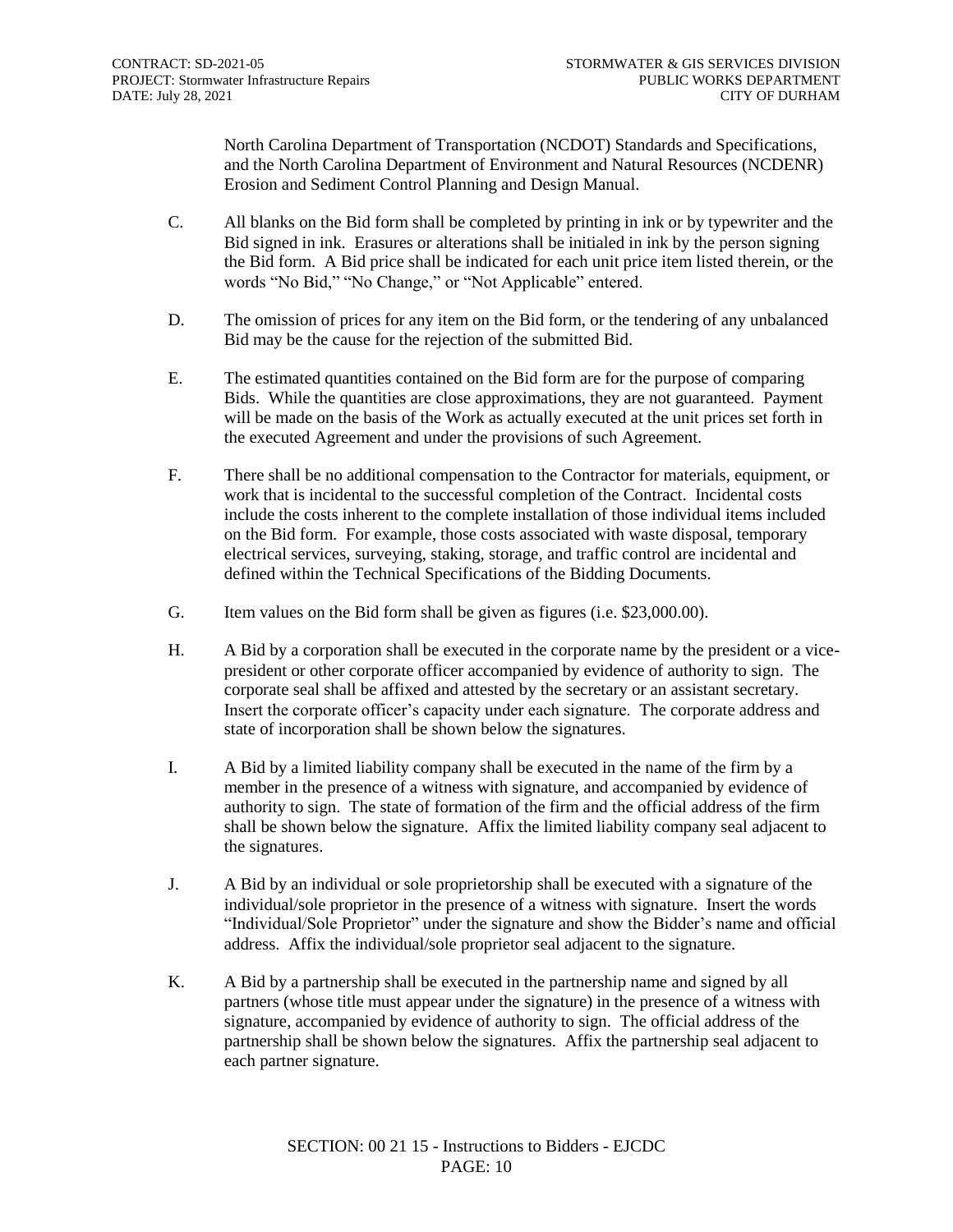North Carolina Department of Transportation (NCDOT) Standards and Specifications, and the North Carolina Department of Environment and Natural Resources (NCDENR) Erosion and Sediment Control Planning and Design Manual.

- C. All blanks on the Bid form shall be completed by printing in ink or by typewriter and the Bid signed in ink. Erasures or alterations shall be initialed in ink by the person signing the Bid form. A Bid price shall be indicated for each unit price item listed therein, or the words "No Bid," "No Change," or "Not Applicable" entered.
- D. The omission of prices for any item on the Bid form, or the tendering of any unbalanced Bid may be the cause for the rejection of the submitted Bid.
- E. The estimated quantities contained on the Bid form are for the purpose of comparing Bids. While the quantities are close approximations, they are not guaranteed. Payment will be made on the basis of the Work as actually executed at the unit prices set forth in the executed Agreement and under the provisions of such Agreement.
- F. There shall be no additional compensation to the Contractor for materials, equipment, or work that is incidental to the successful completion of the Contract. Incidental costs include the costs inherent to the complete installation of those individual items included on the Bid form. For example, those costs associated with waste disposal, temporary electrical services, surveying, staking, storage, and traffic control are incidental and defined within the Technical Specifications of the Bidding Documents.
- G. Item values on the Bid form shall be given as figures (i.e. \$23,000.00).
- H. A Bid by a corporation shall be executed in the corporate name by the president or a vicepresident or other corporate officer accompanied by evidence of authority to sign. The corporate seal shall be affixed and attested by the secretary or an assistant secretary. Insert the corporate officer's capacity under each signature. The corporate address and state of incorporation shall be shown below the signatures.
- I. A Bid by a limited liability company shall be executed in the name of the firm by a member in the presence of a witness with signature, and accompanied by evidence of authority to sign. The state of formation of the firm and the official address of the firm shall be shown below the signature. Affix the limited liability company seal adjacent to the signatures.
- J. A Bid by an individual or sole proprietorship shall be executed with a signature of the individual/sole proprietor in the presence of a witness with signature. Insert the words "Individual/Sole Proprietor" under the signature and show the Bidder's name and official address. Affix the individual/sole proprietor seal adjacent to the signature.
- K. A Bid by a partnership shall be executed in the partnership name and signed by all partners (whose title must appear under the signature) in the presence of a witness with signature, accompanied by evidence of authority to sign. The official address of the partnership shall be shown below the signatures. Affix the partnership seal adjacent to each partner signature.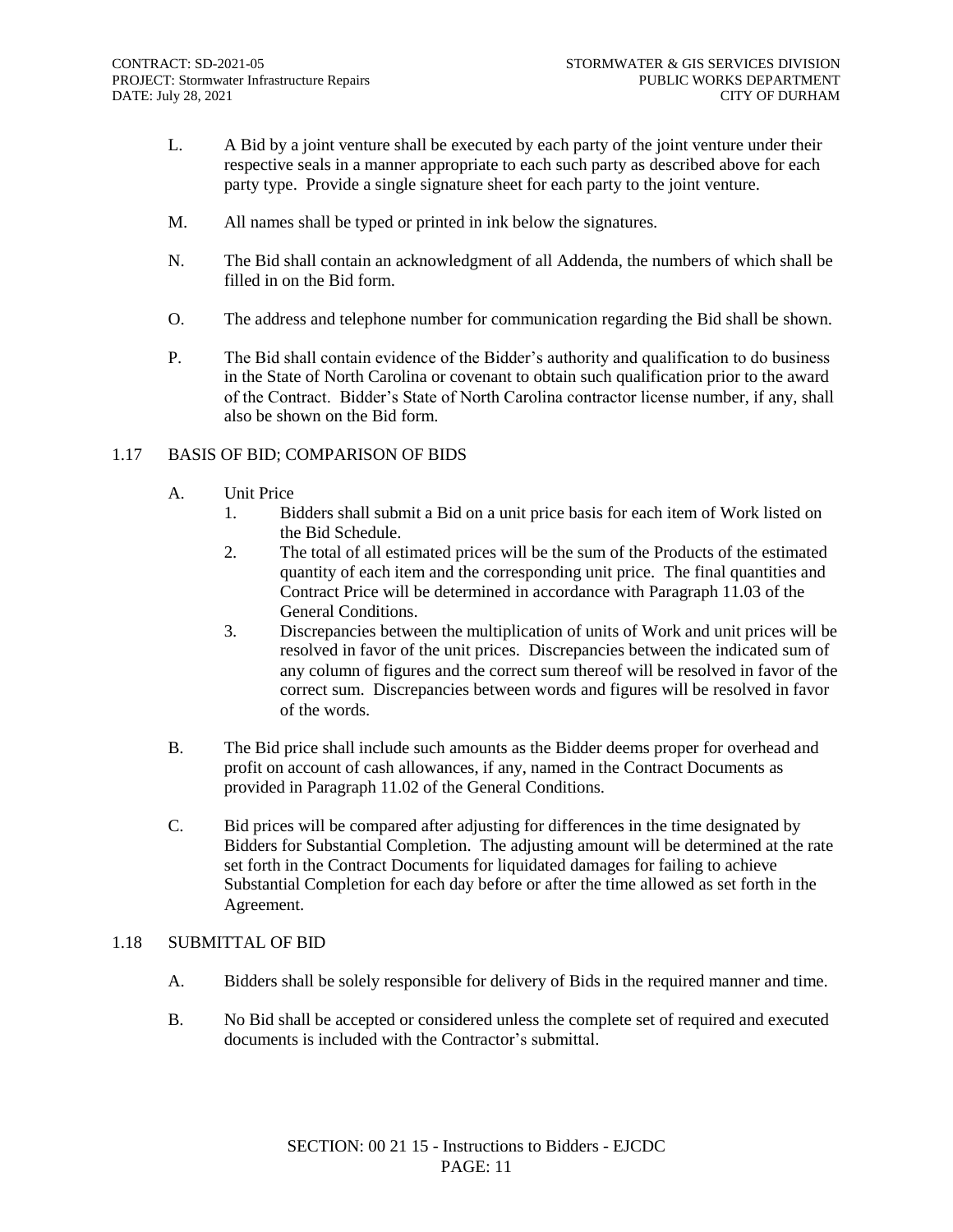- L. A Bid by a joint venture shall be executed by each party of the joint venture under their respective seals in a manner appropriate to each such party as described above for each party type. Provide a single signature sheet for each party to the joint venture.
- M. All names shall be typed or printed in ink below the signatures.
- N. The Bid shall contain an acknowledgment of all Addenda, the numbers of which shall be filled in on the Bid form.
- O. The address and telephone number for communication regarding the Bid shall be shown.
- P. The Bid shall contain evidence of the Bidder's authority and qualification to do business in the State of North Carolina or covenant to obtain such qualification prior to the award of the Contract. Bidder's State of North Carolina contractor license number, if any, shall also be shown on the Bid form.

#### 1.17 BASIS OF BID; COMPARISON OF BIDS

- A. Unit Price
	- 1. Bidders shall submit a Bid on a unit price basis for each item of Work listed on the Bid Schedule.
	- 2. The total of all estimated prices will be the sum of the Products of the estimated quantity of each item and the corresponding unit price. The final quantities and Contract Price will be determined in accordance with Paragraph 11.03 of the General Conditions.
	- 3. Discrepancies between the multiplication of units of Work and unit prices will be resolved in favor of the unit prices. Discrepancies between the indicated sum of any column of figures and the correct sum thereof will be resolved in favor of the correct sum. Discrepancies between words and figures will be resolved in favor of the words.
- B. The Bid price shall include such amounts as the Bidder deems proper for overhead and profit on account of cash allowances, if any, named in the Contract Documents as provided in Paragraph 11.02 of the General Conditions.
- C. Bid prices will be compared after adjusting for differences in the time designated by Bidders for Substantial Completion. The adjusting amount will be determined at the rate set forth in the Contract Documents for liquidated damages for failing to achieve Substantial Completion for each day before or after the time allowed as set forth in the Agreement.

#### 1.18 SUBMITTAL OF BID

- A. Bidders shall be solely responsible for delivery of Bids in the required manner and time.
- B. No Bid shall be accepted or considered unless the complete set of required and executed documents is included with the Contractor's submittal.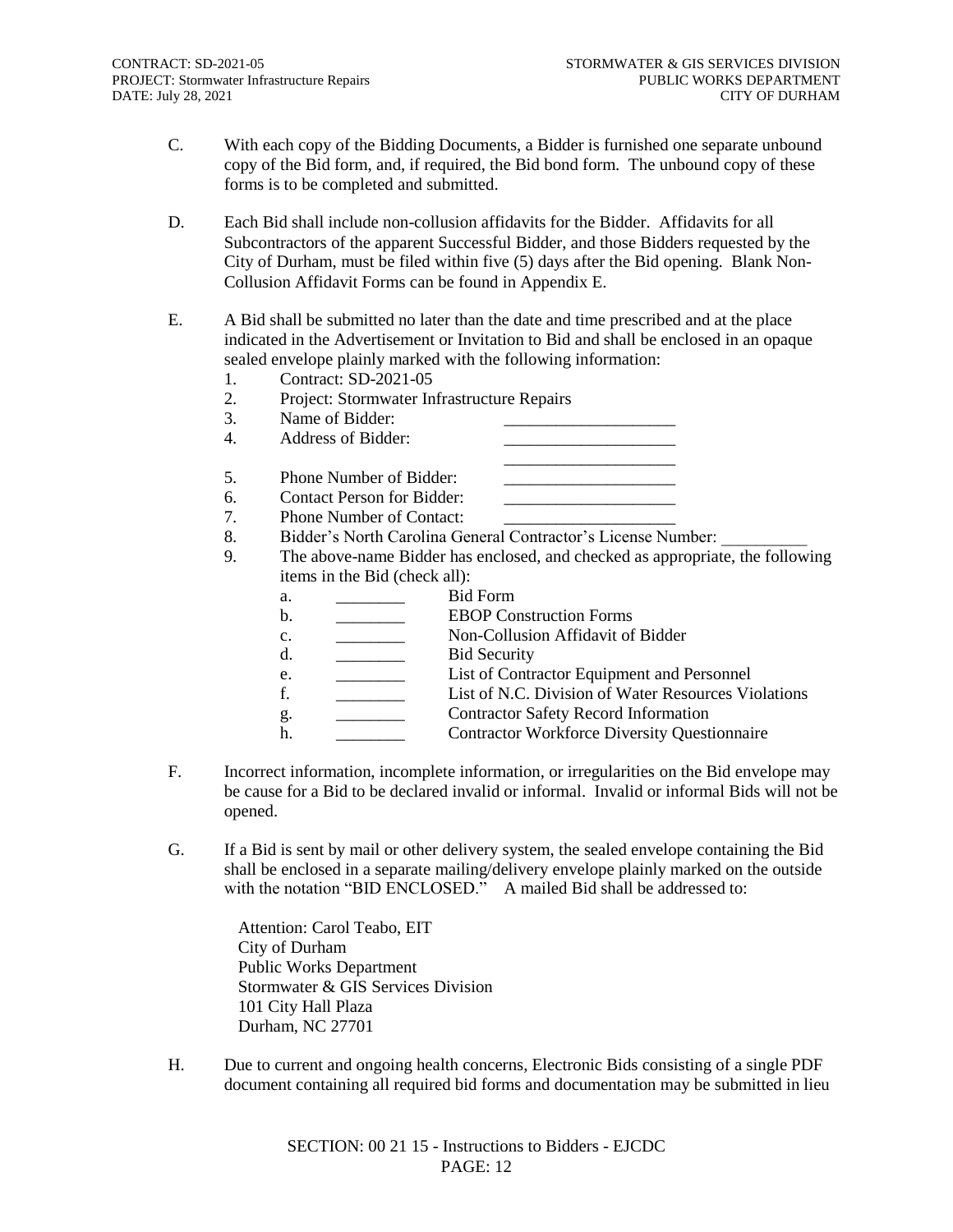- C. With each copy of the Bidding Documents, a Bidder is furnished one separate unbound copy of the Bid form, and, if required, the Bid bond form. The unbound copy of these forms is to be completed and submitted.
- D. Each Bid shall include non-collusion affidavits for the Bidder. Affidavits for all Subcontractors of the apparent Successful Bidder, and those Bidders requested by the City of Durham, must be filed within five (5) days after the Bid opening. Blank Non-Collusion Affidavit Forms can be found in Appendix E.
- E. A Bid shall be submitted no later than the date and time prescribed and at the place indicated in the Advertisement or Invitation to Bid and shall be enclosed in an opaque sealed envelope plainly marked with the following information:
	- 1. Contract: SD-2021-05
	- 2. Project: Stormwater Infrastructure Repairs
	- 3. Name of Bidder:
	- 4. Address of Bidder:
	- \_\_\_\_\_\_\_\_\_\_\_\_\_\_\_\_\_\_\_\_ 5. Phone Number of Bidder:
	- 6. Contact Person for Bidder:
	- 7. Phone Number of Contact:
	- 8. Bidder's North Carolina General Contractor's License Number:
	- 9. The above-name Bidder has enclosed, and checked as appropriate, the following items in the Bid (check all):

| a. | Bid Form                                            |
|----|-----------------------------------------------------|
| b. | <b>EBOP</b> Construction Forms                      |
| c. | Non-Collusion Affidavit of Bidder                   |
| d. | <b>Bid Security</b>                                 |
| e. | List of Contractor Equipment and Personnel          |
| f. | List of N.C. Division of Water Resources Violations |
| g. | <b>Contractor Safety Record Information</b>         |
| h. | <b>Contractor Workforce Diversity Questionnaire</b> |
|    |                                                     |

- F. Incorrect information, incomplete information, or irregularities on the Bid envelope may be cause for a Bid to be declared invalid or informal. Invalid or informal Bids will not be opened.
- G. If a Bid is sent by mail or other delivery system, the sealed envelope containing the Bid shall be enclosed in a separate mailing/delivery envelope plainly marked on the outside with the notation "BID ENCLOSED." A mailed Bid shall be addressed to:

Attention: Carol Teabo, EIT City of Durham Public Works Department Stormwater & GIS Services Division 101 City Hall Plaza Durham, NC 27701

H. Due to current and ongoing health concerns, Electronic Bids consisting of a single PDF document containing all required bid forms and documentation may be submitted in lieu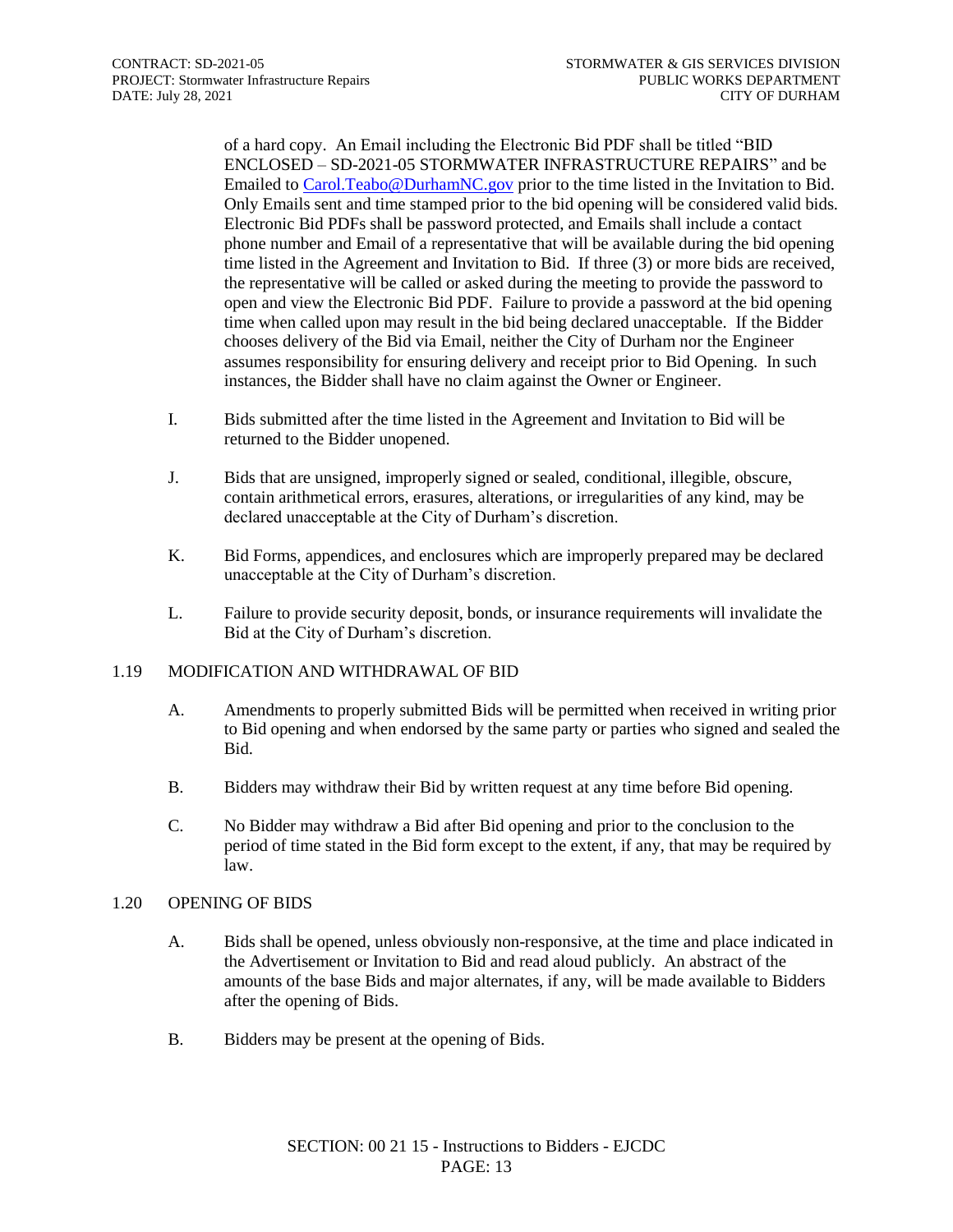of a hard copy. An Email including the Electronic Bid PDF shall be titled "BID ENCLOSED – SD-2021-05 STORMWATER INFRASTRUCTURE REPAIRS" and be Emailed t[o Carol.Teabo@DurhamNC.gov](mailto:Carol.Teabo@DurhamNC.gov) prior to the time listed in the Invitation to Bid. Only Emails sent and time stamped prior to the bid opening will be considered valid bids. Electronic Bid PDFs shall be password protected, and Emails shall include a contact phone number and Email of a representative that will be available during the bid opening time listed in the Agreement and Invitation to Bid. If three (3) or more bids are received, the representative will be called or asked during the meeting to provide the password to open and view the Electronic Bid PDF. Failure to provide a password at the bid opening time when called upon may result in the bid being declared unacceptable. If the Bidder chooses delivery of the Bid via Email, neither the City of Durham nor the Engineer assumes responsibility for ensuring delivery and receipt prior to Bid Opening. In such instances, the Bidder shall have no claim against the Owner or Engineer.

- I. Bids submitted after the time listed in the Agreement and Invitation to Bid will be returned to the Bidder unopened.
- J. Bids that are unsigned, improperly signed or sealed, conditional, illegible, obscure, contain arithmetical errors, erasures, alterations, or irregularities of any kind, may be declared unacceptable at the City of Durham's discretion.
- K. Bid Forms, appendices, and enclosures which are improperly prepared may be declared unacceptable at the City of Durham's discretion.
- L. Failure to provide security deposit, bonds, or insurance requirements will invalidate the Bid at the City of Durham's discretion.

#### 1.19 MODIFICATION AND WITHDRAWAL OF BID

- A. Amendments to properly submitted Bids will be permitted when received in writing prior to Bid opening and when endorsed by the same party or parties who signed and sealed the Bid.
- B. Bidders may withdraw their Bid by written request at any time before Bid opening.
- C. No Bidder may withdraw a Bid after Bid opening and prior to the conclusion to the period of time stated in the Bid form except to the extent, if any, that may be required by law.

#### 1.20 OPENING OF BIDS

- A. Bids shall be opened, unless obviously non-responsive, at the time and place indicated in the Advertisement or Invitation to Bid and read aloud publicly. An abstract of the amounts of the base Bids and major alternates, if any, will be made available to Bidders after the opening of Bids.
- B. Bidders may be present at the opening of Bids.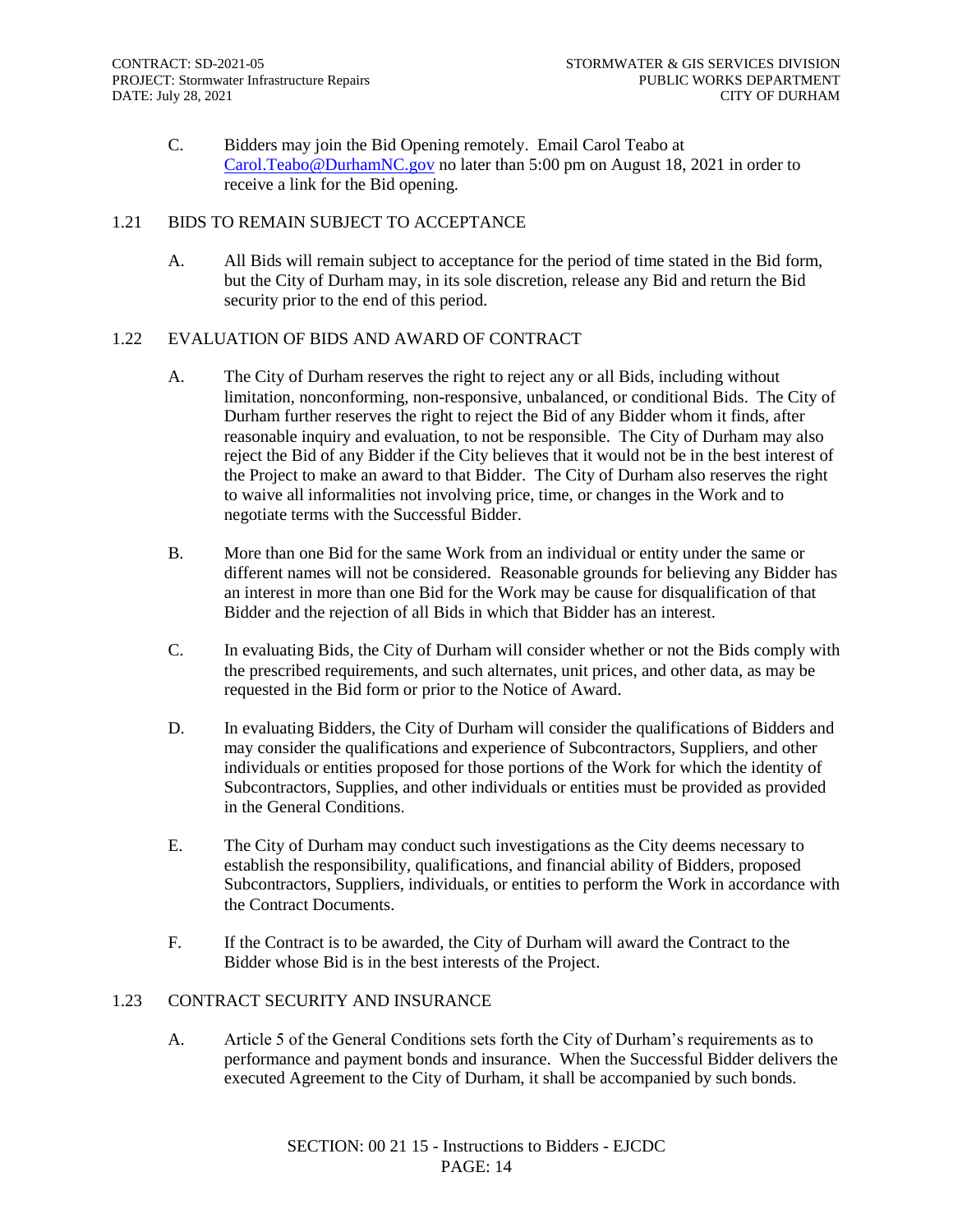C. Bidders may join the Bid Opening remotely. Email Carol Teabo at [Carol.Teabo@DurhamNC.gov](mailto:Carol.Teabo@DurhamNC.gov) no later than 5:00 pm on August 18, 2021 in order to receive a link for the Bid opening.

#### 1.21 BIDS TO REMAIN SUBJECT TO ACCEPTANCE

A. All Bids will remain subject to acceptance for the period of time stated in the Bid form, but the City of Durham may, in its sole discretion, release any Bid and return the Bid security prior to the end of this period.

#### 1.22 EVALUATION OF BIDS AND AWARD OF CONTRACT

- A. The City of Durham reserves the right to reject any or all Bids, including without limitation, nonconforming, non-responsive, unbalanced, or conditional Bids. The City of Durham further reserves the right to reject the Bid of any Bidder whom it finds, after reasonable inquiry and evaluation, to not be responsible. The City of Durham may also reject the Bid of any Bidder if the City believes that it would not be in the best interest of the Project to make an award to that Bidder. The City of Durham also reserves the right to waive all informalities not involving price, time, or changes in the Work and to negotiate terms with the Successful Bidder.
- B. More than one Bid for the same Work from an individual or entity under the same or different names will not be considered. Reasonable grounds for believing any Bidder has an interest in more than one Bid for the Work may be cause for disqualification of that Bidder and the rejection of all Bids in which that Bidder has an interest.
- C. In evaluating Bids, the City of Durham will consider whether or not the Bids comply with the prescribed requirements, and such alternates, unit prices, and other data, as may be requested in the Bid form or prior to the Notice of Award.
- D. In evaluating Bidders, the City of Durham will consider the qualifications of Bidders and may consider the qualifications and experience of Subcontractors, Suppliers, and other individuals or entities proposed for those portions of the Work for which the identity of Subcontractors, Supplies, and other individuals or entities must be provided as provided in the General Conditions.
- E. The City of Durham may conduct such investigations as the City deems necessary to establish the responsibility, qualifications, and financial ability of Bidders, proposed Subcontractors, Suppliers, individuals, or entities to perform the Work in accordance with the Contract Documents.
- F. If the Contract is to be awarded, the City of Durham will award the Contract to the Bidder whose Bid is in the best interests of the Project.

#### 1.23 CONTRACT SECURITY AND INSURANCE

A. Article 5 of the General Conditions sets forth the City of Durham's requirements as to performance and payment bonds and insurance. When the Successful Bidder delivers the executed Agreement to the City of Durham, it shall be accompanied by such bonds.